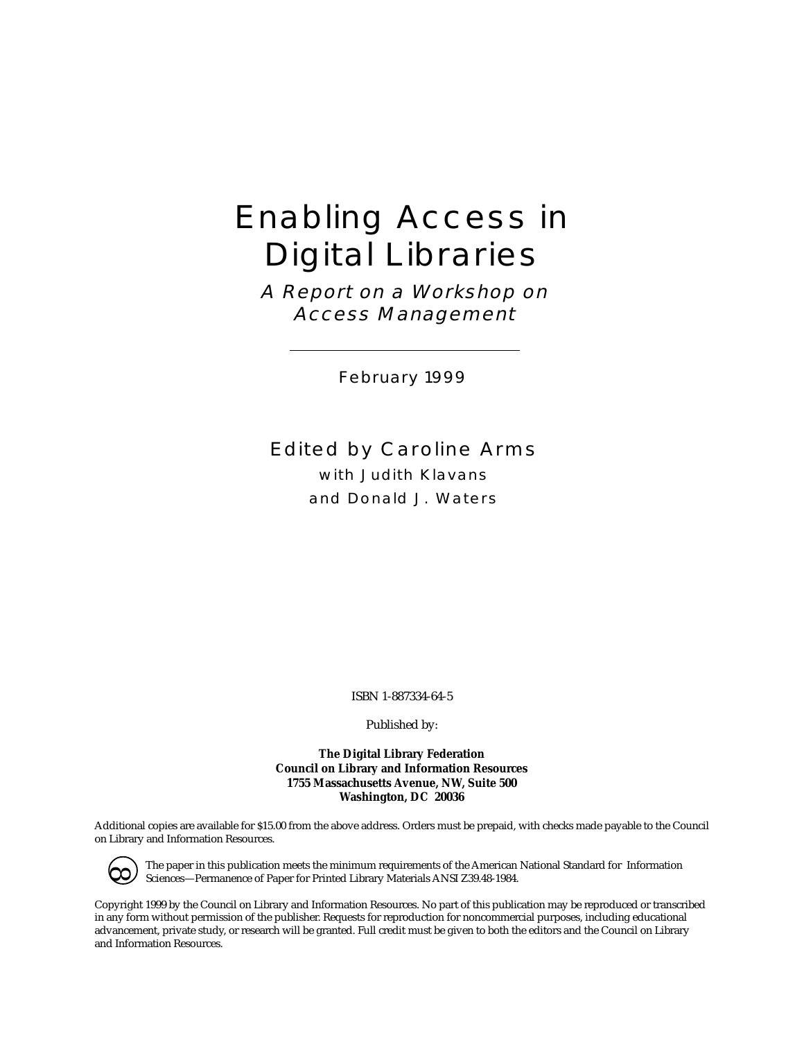# Enabling Access in Digital Libraries

A Report on a Workshop on Access Management

February 1999

Edited by Caroline Arms with Judith Klavans and Donald J. Waters

ISBN 1-887334-64-5

Published by:

**The Digital Library Federation Council on Library and Information Resources 1755 Massachusetts Avenue, NW, Suite 500 Washington, DC 20036**

Additional copies are available for \$15.00 from the above address. Orders must be prepaid, with checks made payable to the Council on Library and Information Resources.



The paper in this publication meets the minimum requirements of the American National Standard for Information Sciences—Permanence of Paper for Printed Library Materials ANSI Z39.48-1984.

Copyright 1999 by the Council on Library and Information Resources. No part of this publication may be reproduced or transcribed in any form without permission of the publisher. Requests for reproduction for noncommercial purposes, including educational advancement, private study, or research will be granted. Full credit must be given to both the editors and the Council on Library and Information Resources.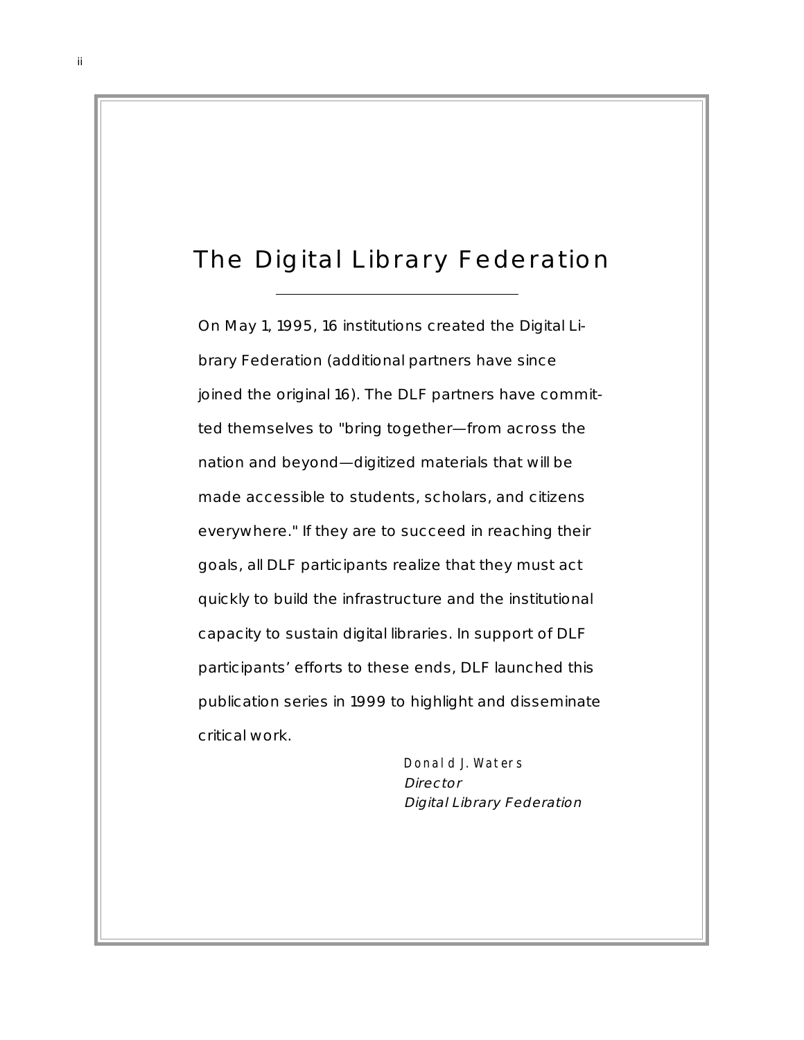# The Digital Library Federation

On May 1, 1995, 16 institutions created the Digital Library Federation (additional partners have since joined the original 16). The DLF partners have committed themselves to "bring together—from across the nation and beyond—digitized materials that will be made accessible to students, scholars, and citizens everywhere." If they are to succeed in reaching their goals, all DLF participants realize that they must act quickly to build the infrastructure and the institutional capacity to sustain digital libraries. In support of DLF participants' efforts to these ends, DLF launched this publication series in 1999 to highlight and disseminate critical work.

> Donald J. Waters Director Digital Library Federation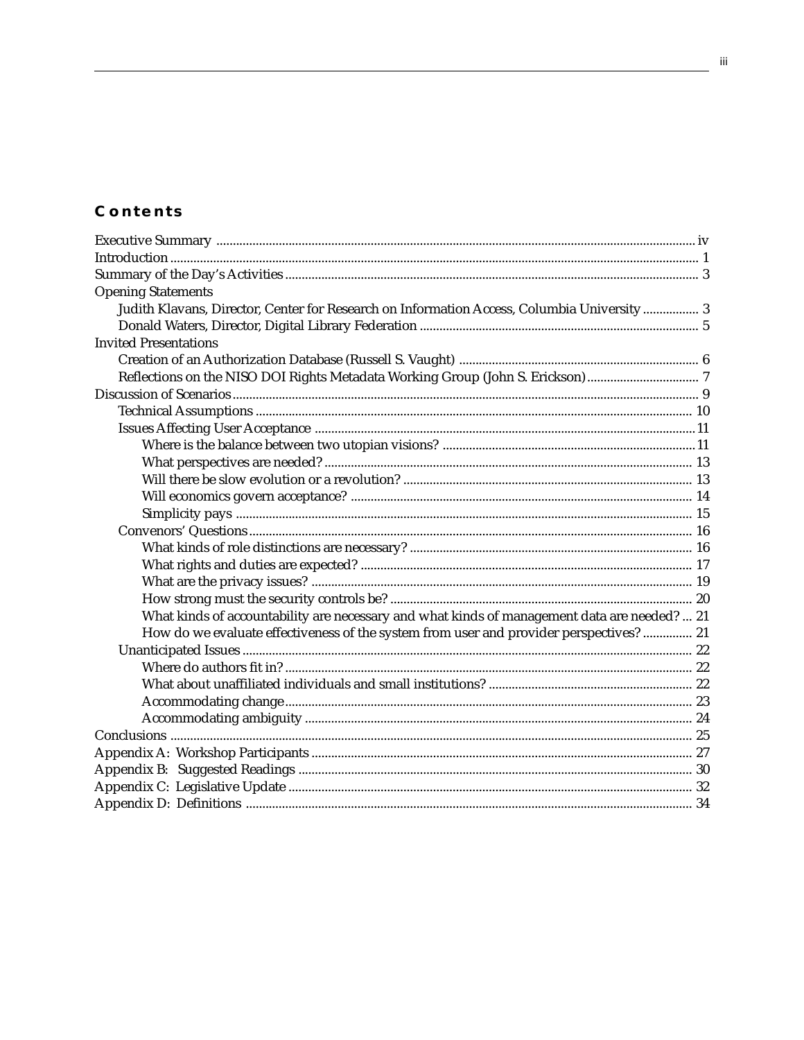# **Contents**

| <b>Opening Statements</b>                                                                    |  |
|----------------------------------------------------------------------------------------------|--|
| Judith Klavans, Director, Center for Research on Information Access, Columbia University 3   |  |
|                                                                                              |  |
| <b>Invited Presentations</b>                                                                 |  |
|                                                                                              |  |
| Reflections on the NISO DOI Rights Metadata Working Group (John S. Erickson)  7              |  |
|                                                                                              |  |
|                                                                                              |  |
|                                                                                              |  |
|                                                                                              |  |
|                                                                                              |  |
|                                                                                              |  |
|                                                                                              |  |
|                                                                                              |  |
|                                                                                              |  |
|                                                                                              |  |
|                                                                                              |  |
|                                                                                              |  |
|                                                                                              |  |
| What kinds of accountability are necessary and what kinds of management data are needed?  21 |  |
| How do we evaluate effectiveness of the system from user and provider perspectives?  21      |  |
|                                                                                              |  |
|                                                                                              |  |
|                                                                                              |  |
|                                                                                              |  |
|                                                                                              |  |
|                                                                                              |  |
|                                                                                              |  |
|                                                                                              |  |
|                                                                                              |  |
|                                                                                              |  |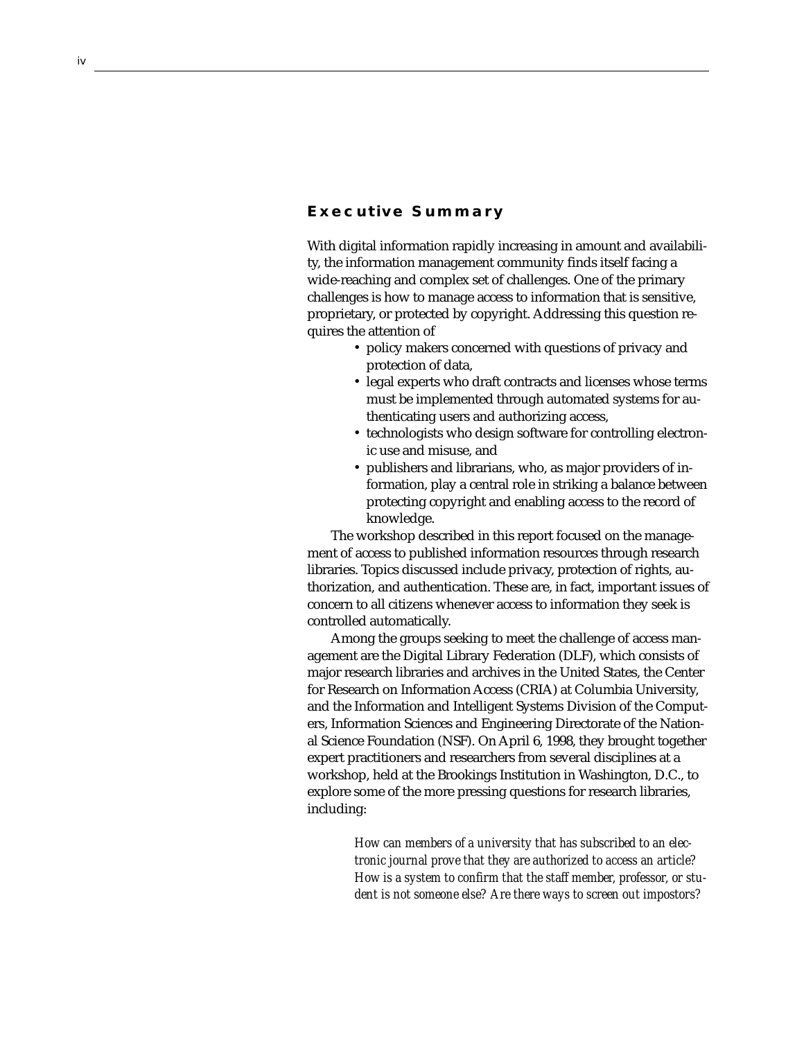# **Executive Summary**

With digital information rapidly increasing in amount and availability, the information management community finds itself facing a wide-reaching and complex set of challenges. One of the primary challenges is how to manage access to information that is sensitive, proprietary, or protected by copyright. Addressing this question requires the attention of

- policy makers concerned with questions of privacy and protection of data,
- legal experts who draft contracts and licenses whose terms must be implemented through automated systems for authenticating users and authorizing access,
- technologists who design software for controlling electronic use and misuse, and
- publishers and librarians, who, as major providers of information, play a central role in striking a balance between protecting copyright and enabling access to the record of knowledge.

The workshop described in this report focused on the management of access to published information resources through research libraries. Topics discussed include privacy, protection of rights, authorization, and authentication. These are, in fact, important issues of concern to all citizens whenever access to information they seek is controlled automatically.

Among the groups seeking to meet the challenge of access management are the Digital Library Federation (DLF), which consists of major research libraries and archives in the United States, the Center for Research on Information Access (CRIA) at Columbia University, and the Information and Intelligent Systems Division of the Computers, Information Sciences and Engineering Directorate of the National Science Foundation (NSF). On April 6, 1998, they brought together expert practitioners and researchers from several disciplines at a workshop, held at the Brookings Institution in Washington, D.C., to explore some of the more pressing questions for research libraries, including:

> *How can members of a university that has subscribed to an electronic journal prove that they are authorized to access an article? How is a system to confirm that the staff member, professor, or student is not someone else? Are there ways to screen out impostors?*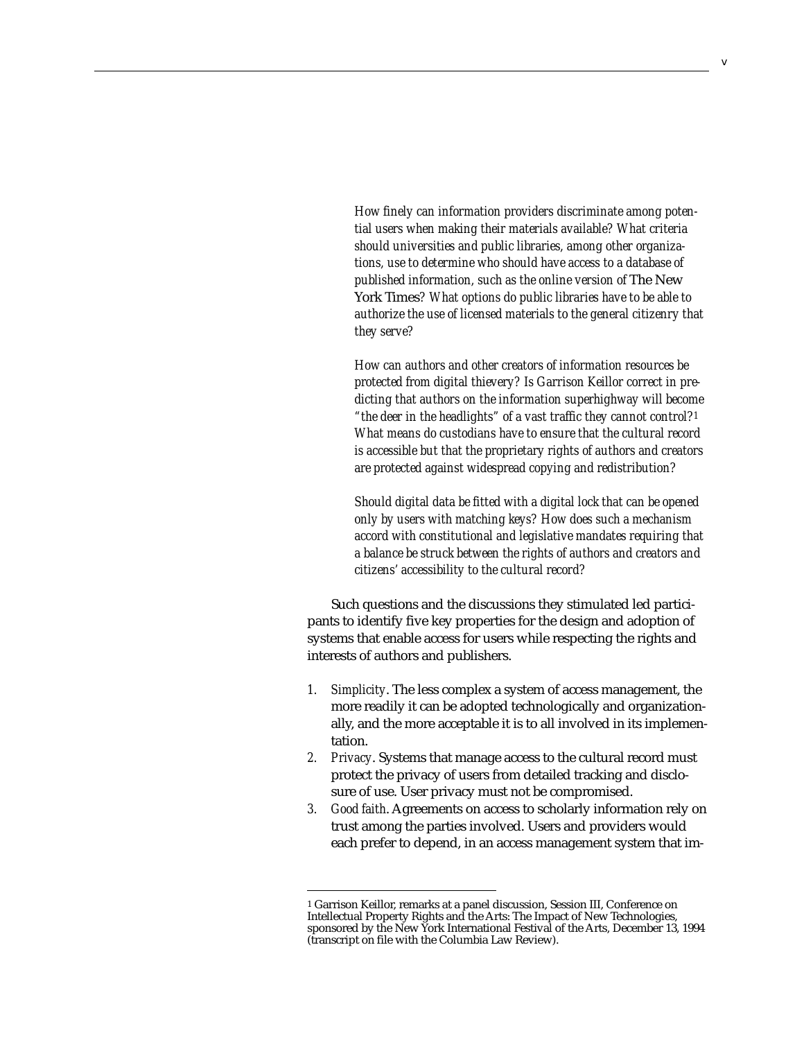*How finely can information providers discriminate among potential users when making their materials available? What criteria should universities and public libraries, among other organizations, use to determine who should have access to a database of published information, such as the online version of* The New York Times*? What options do public libraries have to be able to authorize the use of licensed materials to the general citizenry that they serve?*

*How can authors and other creators of information resources be protected from digital thievery? Is Garrison Keillor correct in predicting that authors on the information superhighway will become "the deer in the headlights" of a vast traffic they cannot control?1 What means do custodians have to ensure that the cultural record is accessible but that the proprietary rights of authors and creators are protected against widespread copying and redistribution?*

*Should digital data be fitted with a digital lock that can be opened only by users with matching keys? How does such a mechanism accord with constitutional and legislative mandates requiring that a balance be struck between the rights of authors and creators and citizens' accessibility to the cultural record?*

Such questions and the discussions they stimulated led participants to identify five key properties for the design and adoption of systems that enable access for users while respecting the rights and interests of authors and publishers.

- *1. Simplicity*. The less complex a system of access management, the more readily it can be adopted technologically and organizationally, and the more acceptable it is to all involved in its implementation.
- *2. Privacy*. Systems that manage access to the cultural record must protect the privacy of users from detailed tracking and disclosure of use. User privacy must not be compromised.
- *3. Good faith*. Agreements on access to scholarly information rely on trust among the parties involved. Users and providers would each prefer to depend, in an access management system that im-

<sup>1</sup> Garrison Keillor, remarks at a panel discussion, Session III, Conference on Intellectual Property Rights and the Arts: The Impact of New Technologies, sponsored by the New York International Festival of the Arts, December 13, 1994 (transcript on file with the Columbia Law Review).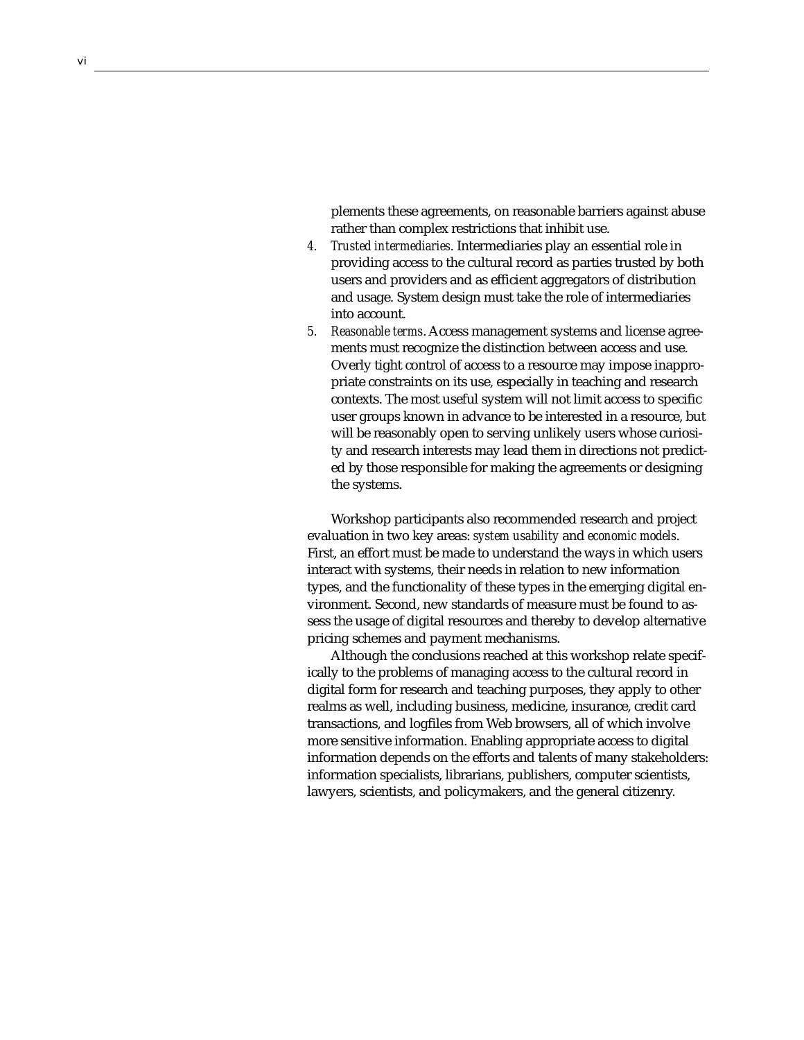plements these agreements, on reasonable barriers against abuse rather than complex restrictions that inhibit use.

- *4. Trusted intermediaries*. Intermediaries play an essential role in providing access to the cultural record as parties trusted by both users and providers and as efficient aggregators of distribution and usage. System design must take the role of intermediaries into account.
- *5. Reasonable terms*. Access management systems and license agreements must recognize the distinction between access and use. Overly tight control of access to a resource may impose inappropriate constraints on its use, especially in teaching and research contexts. The most useful system will not limit access to specific user groups known in advance to be interested in a resource, but will be reasonably open to serving unlikely users whose curiosity and research interests may lead them in directions not predicted by those responsible for making the agreements or designing the systems.

Workshop participants also recommended research and project evaluation in two key areas: *system usability* and *economic models*. First, an effort must be made to understand the ways in which users interact with systems, their needs in relation to new information types, and the functionality of these types in the emerging digital environment. Second, new standards of measure must be found to assess the usage of digital resources and thereby to develop alternative pricing schemes and payment mechanisms.

Although the conclusions reached at this workshop relate specifically to the problems of managing access to the cultural record in digital form for research and teaching purposes, they apply to other realms as well, including business, medicine, insurance, credit card transactions, and logfiles from Web browsers, all of which involve more sensitive information. Enabling appropriate access to digital information depends on the efforts and talents of many stakeholders: information specialists, librarians, publishers, computer scientists, lawyers, scientists, and policymakers, and the general citizenry.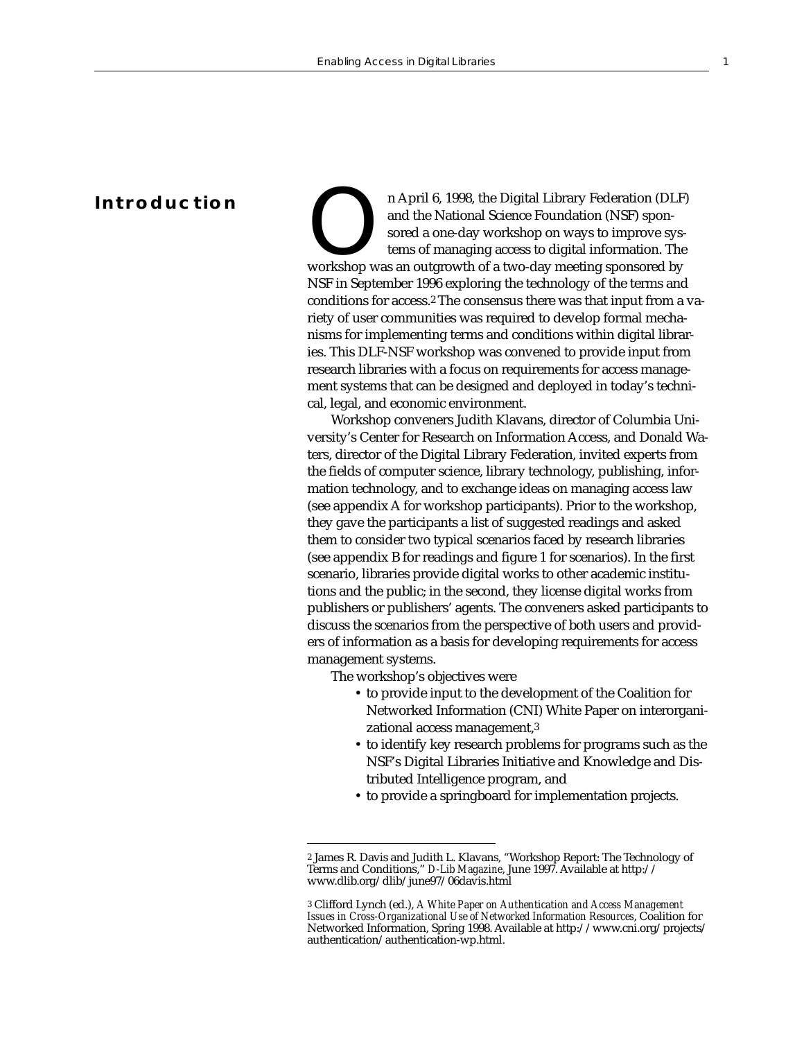# **Introduction**

n April 6, 1998, the Digital Library Federation (DLF) and the National Science Foundation (NSF) sponsored a one-day workshop on ways to improve systems of managing access to digital information. The workshop was an outgrow and the National Science Foundation (NSF) sponsored a one-day workshop on ways to improve systems of managing access to digital information. The NSF in September 1996 exploring the technology of the terms and conditions for access.2 The consensus there was that input from a variety of user communities was required to develop formal mechanisms for implementing terms and conditions within digital libraries. This DLF-NSF workshop was convened to provide input from research libraries with a focus on requirements for access management systems that can be designed and deployed in today's technical, legal, and economic environment.

Workshop conveners Judith Klavans, director of Columbia University's Center for Research on Information Access, and Donald Waters, director of the Digital Library Federation, invited experts from the fields of computer science, library technology, publishing, information technology, and to exchange ideas on managing access law (see appendix A for workshop participants). Prior to the workshop, they gave the participants a list of suggested readings and asked them to consider two typical scenarios faced by research libraries (see appendix B for readings and figure 1 for scenarios). In the first scenario, libraries provide digital works to other academic institutions and the public; in the second, they license digital works from publishers or publishers' agents. The conveners asked participants to discuss the scenarios from the perspective of both users and providers of information as a basis for developing requirements for access management systems.

The workshop's objectives were

- to provide input to the development of the Coalition for Networked Information (CNI) White Paper on interorganizational access management,3
- to identify key research problems for programs such as the NSF's Digital Libraries Initiative and Knowledge and Distributed Intelligence program, and
- to provide a springboard for implementation projects.

<sup>2</sup> James R. Davis and Judith L. Klavans, "Workshop Report: The Technology of Terms and Conditions," *D-Lib Magazine*, June 1997. Available at http:// www.dlib.org/dlib/june97/06davis.html

<sup>3</sup> Clifford Lynch (ed.), *A White Paper on Authentication and Access Management Issues in Cross-Organizational Use of Networked Information Resources*, Coalition for Networked Information, Spring 1998. Available at http://www.cni.org/projects/ authentication/authentication-wp.html.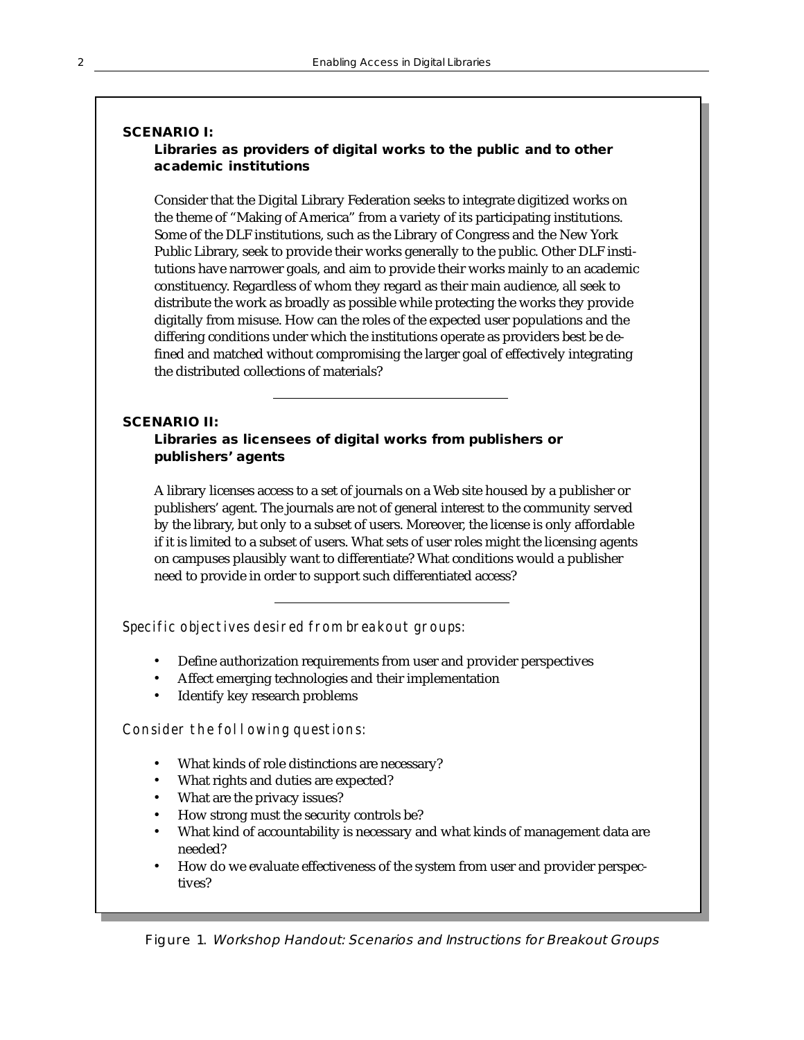# **SCENARIO I: Libraries as providers of digital works to the public and to other academic institutions**

Consider that the Digital Library Federation seeks to integrate digitized works on the theme of "Making of America" from a variety of its participating institutions. Some of the DLF institutions, such as the Library of Congress and the New York Public Library, seek to provide their works generally to the public. Other DLF institutions have narrower goals, and aim to provide their works mainly to an academic constituency. Regardless of whom they regard as their main audience, all seek to distribute the work as broadly as possible while protecting the works they provide digitally from misuse. How can the roles of the expected user populations and the differing conditions under which the institutions operate as providers best be defined and matched without compromising the larger goal of effectively integrating the distributed collections of materials?

# **SCENARIO II:**

# **Libraries as licensees of digital works from publishers or publishers' agents**

A library licenses access to a set of journals on a Web site housed by a publisher or publishers' agent. The journals are not of general interest to the community served by the library, but only to a subset of users. Moreover, the license is only affordable if it is limited to a subset of users. What sets of user roles might the licensing agents on campuses plausibly want to differentiate? What conditions would a publisher need to provide in order to support such differentiated access?

Specific objectives desired from breakout groups:

- Define authorization requirements from user and provider perspectives
- Affect emerging technologies and their implementation
- Identify key research problems

Consider the following questions:

- What kinds of role distinctions are necessary?
- What rights and duties are expected?
- What are the privacy issues?
- How strong must the security controls be?
- What kind of accountability is necessary and what kinds of management data are needed?
- How do we evaluate effectiveness of the system from user and provider perspectives?

Figure 1. Workshop Handout: Scenarios and Instructions for Breakout Groups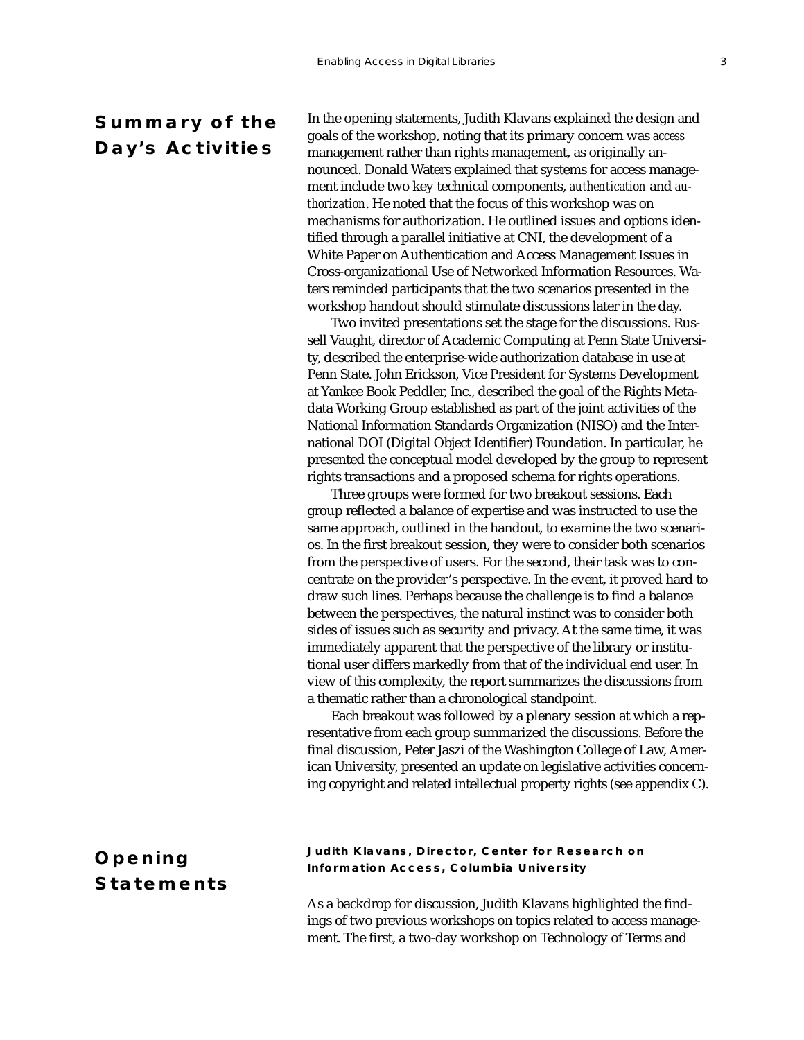# **Summary of the Day's Activities**

In the opening statements, Judith Klavans explained the design and goals of the workshop, noting that its primary concern was *access* management rather than rights management, as originally announced. Donald Waters explained that systems for access management include two key technical components, *authentication* and *authorization*. He noted that the focus of this workshop was on mechanisms for authorization. He outlined issues and options identified through a parallel initiative at CNI, the development of a White Paper on Authentication and Access Management Issues in Cross-organizational Use of Networked Information Resources. Waters reminded participants that the two scenarios presented in the workshop handout should stimulate discussions later in the day.

Two invited presentations set the stage for the discussions. Russell Vaught, director of Academic Computing at Penn State University, described the enterprise-wide authorization database in use at Penn State. John Erickson, Vice President for Systems Development at Yankee Book Peddler, Inc., described the goal of the Rights Metadata Working Group established as part of the joint activities of the National Information Standards Organization (NISO) and the International DOI (Digital Object Identifier) Foundation. In particular, he presented the conceptual model developed by the group to represent rights transactions and a proposed schema for rights operations.

Three groups were formed for two breakout sessions. Each group reflected a balance of expertise and was instructed to use the same approach, outlined in the handout, to examine the two scenarios. In the first breakout session, they were to consider both scenarios from the perspective of users. For the second, their task was to concentrate on the provider's perspective. In the event, it proved hard to draw such lines. Perhaps because the challenge is to find a balance between the perspectives, the natural instinct was to consider both sides of issues such as security and privacy. At the same time, it was immediately apparent that the perspective of the library or institutional user differs markedly from that of the individual end user. In view of this complexity, the report summarizes the discussions from a thematic rather than a chronological standpoint.

Each breakout was followed by a plenary session at which a representative from each group summarized the discussions. Before the final discussion, Peter Jaszi of the Washington College of Law, American University, presented an update on legislative activities concerning copyright and related intellectual property rights (see appendix C).

# **Opening Statements**

# **Judith Klavans, Director, Center for Research on Information Access, Columbia University**

As a backdrop for discussion, Judith Klavans highlighted the findings of two previous workshops on topics related to access management. The first, a two-day workshop on Technology of Terms and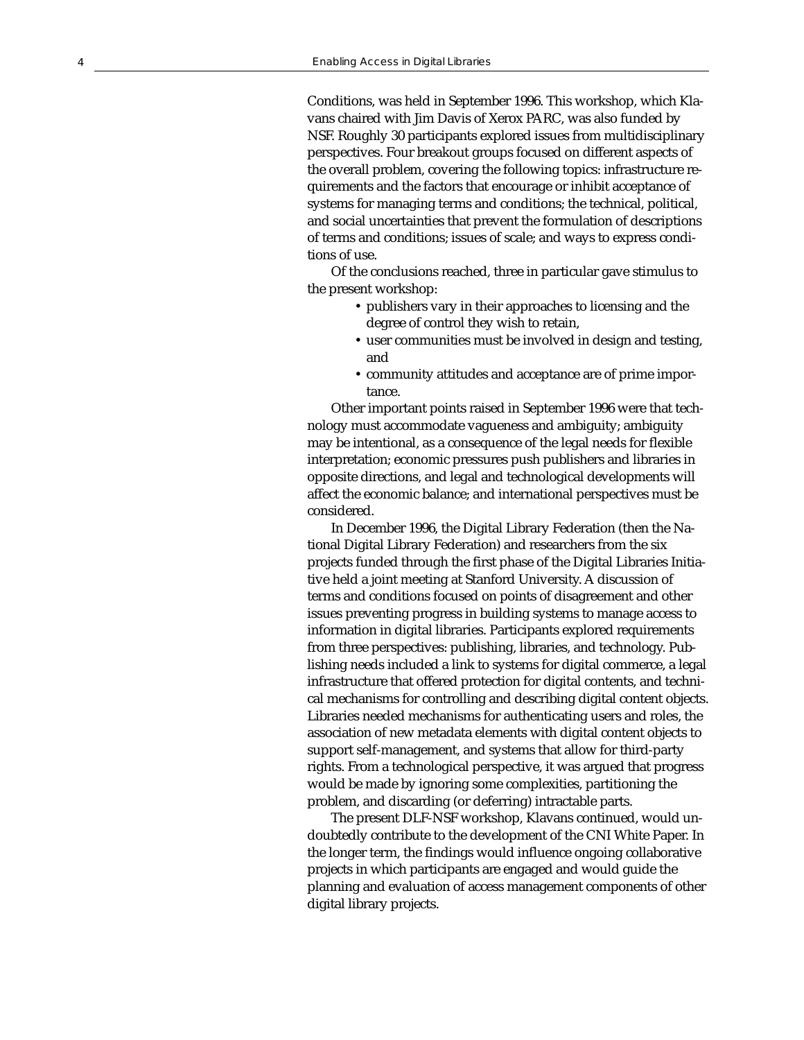Conditions, was held in September 1996. This workshop, which Klavans chaired with Jim Davis of Xerox PARC, was also funded by NSF. Roughly 30 participants explored issues from multidisciplinary perspectives. Four breakout groups focused on different aspects of the overall problem, covering the following topics: infrastructure requirements and the factors that encourage or inhibit acceptance of systems for managing terms and conditions; the technical, political, and social uncertainties that prevent the formulation of descriptions of terms and conditions; issues of scale; and ways to express conditions of use.

Of the conclusions reached, three in particular gave stimulus to the present workshop:

- publishers vary in their approaches to licensing and the degree of control they wish to retain,
- user communities must be involved in design and testing, and
- community attitudes and acceptance are of prime importance.

Other important points raised in September 1996 were that technology must accommodate vagueness and ambiguity; ambiguity may be intentional, as a consequence of the legal needs for flexible interpretation; economic pressures push publishers and libraries in opposite directions, and legal and technological developments will affect the economic balance; and international perspectives must be considered.

In December 1996, the Digital Library Federation (then the National Digital Library Federation) and researchers from the six projects funded through the first phase of the Digital Libraries Initiative held a joint meeting at Stanford University. A discussion of terms and conditions focused on points of disagreement and other issues preventing progress in building systems to manage access to information in digital libraries. Participants explored requirements from three perspectives: publishing, libraries, and technology. Publishing needs included a link to systems for digital commerce, a legal infrastructure that offered protection for digital contents, and technical mechanisms for controlling and describing digital content objects. Libraries needed mechanisms for authenticating users and roles, the association of new metadata elements with digital content objects to support self-management, and systems that allow for third-party rights. From a technological perspective, it was argued that progress would be made by ignoring some complexities, partitioning the problem, and discarding (or deferring) intractable parts.

The present DLF-NSF workshop, Klavans continued, would undoubtedly contribute to the development of the CNI White Paper. In the longer term, the findings would influence ongoing collaborative projects in which participants are engaged and would guide the planning and evaluation of access management components of other digital library projects.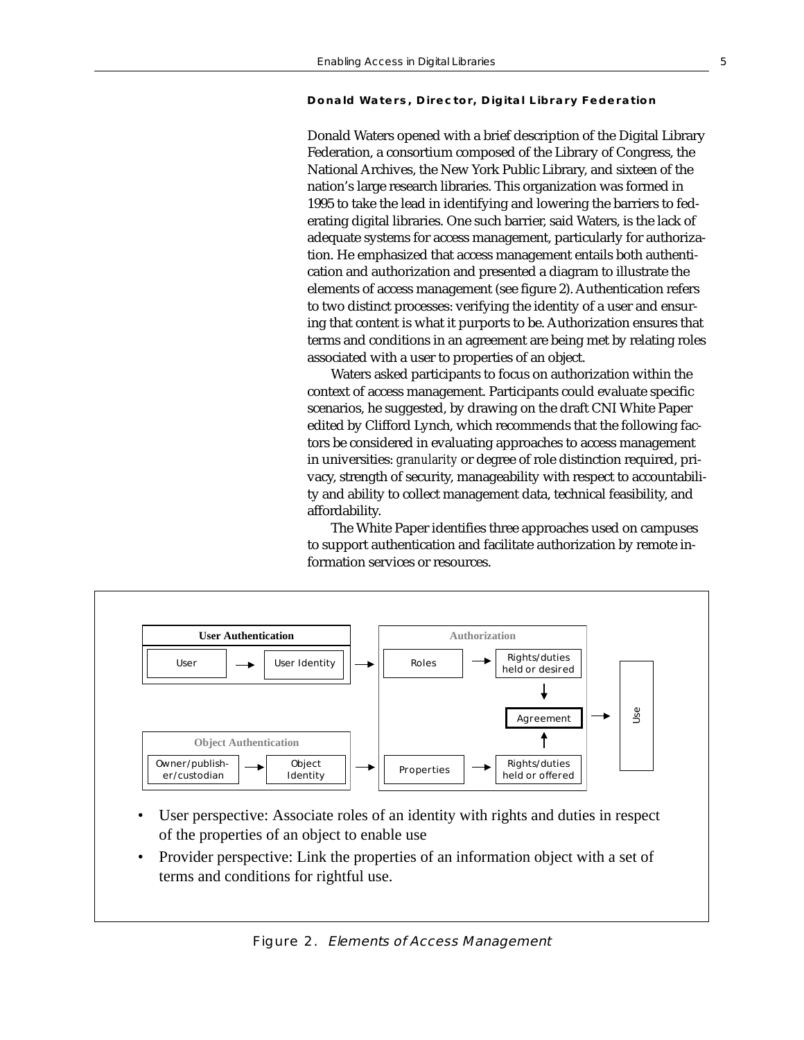#### **Donald Waters, Director, Digital Library Federation**

Donald Waters opened with a brief description of the Digital Library Federation, a consortium composed of the Library of Congress, the National Archives, the New York Public Library, and sixteen of the nation's large research libraries. This organization was formed in 1995 to take the lead in identifying and lowering the barriers to federating digital libraries. One such barrier, said Waters, is the lack of adequate systems for access management, particularly for authorization. He emphasized that access management entails both authentication and authorization and presented a diagram to illustrate the elements of access management (see figure 2). Authentication refers to two distinct processes: verifying the identity of a user and ensuring that content is what it purports to be. Authorization ensures that terms and conditions in an agreement are being met by relating roles associated with a user to properties of an object.

Waters asked participants to focus on authorization within the context of access management. Participants could evaluate specific scenarios, he suggested, by drawing on the draft CNI White Paper edited by Clifford Lynch, which recommends that the following factors be considered in evaluating approaches to access management in universities: *granularity* or degree of role distinction required, privacy, strength of security, manageability with respect to accountability and ability to collect management data, technical feasibility, and affordability.

The White Paper identifies three approaches used on campuses to support authentication and facilitate authorization by remote information services or resources.



- User perspective: Associate roles of an identity with rights and duties in respect of the properties of an object to enable use
- Provider perspective: Link the properties of an information object with a set of terms and conditions for rightful use.

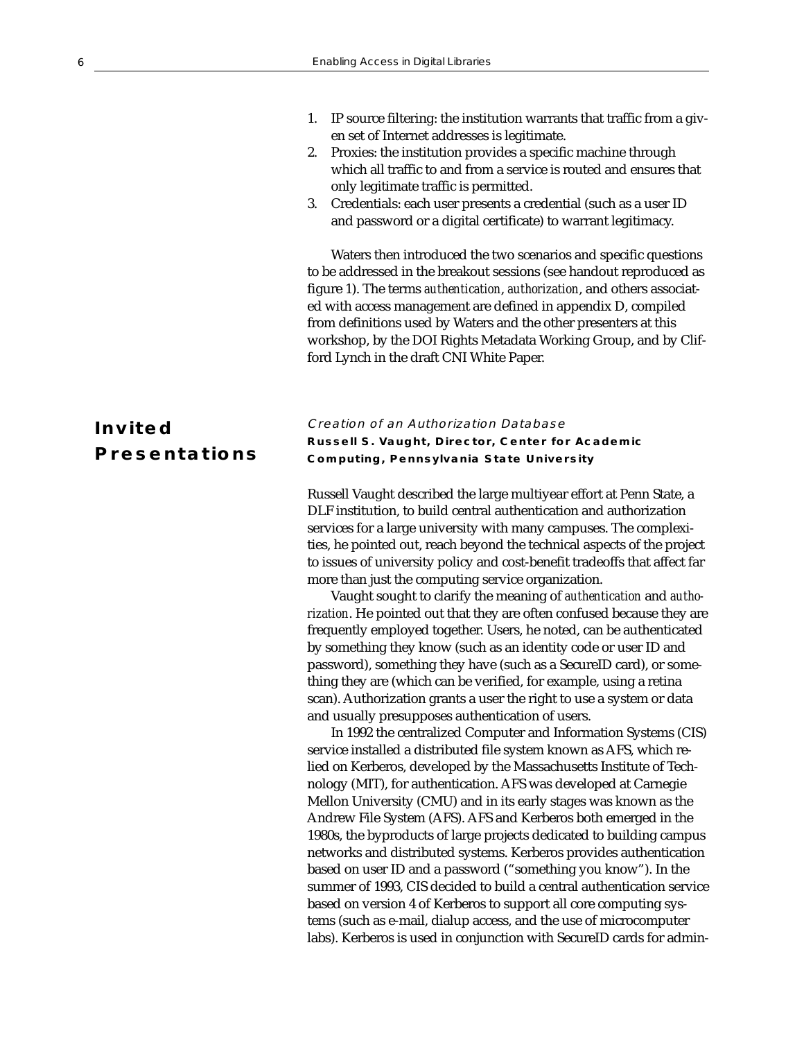# 1. IP source filtering: the institution warrants that traffic from a given set of Internet addresses is legitimate.

- 2. Proxies: the institution provides a specific machine through which all traffic to and from a service is routed and ensures that only legitimate traffic is permitted.
- 3. Credentials: each user presents a credential (such as a user ID and password or a digital certificate) to warrant legitimacy.

Waters then introduced the two scenarios and specific questions to be addressed in the breakout sessions (see handout reproduced as figure 1). The terms *authentication*, *authorization*, and others associated with access management are defined in appendix D, compiled from definitions used by Waters and the other presenters at this workshop, by the DOI Rights Metadata Working Group, and by Clifford Lynch in the draft CNI White Paper.

# **Invited Presentations**

# Creation of an Authorization Database **Russell S. Vaught, Director, Center for Academic Computing, Pennsylvania State University**

Russell Vaught described the large multiyear effort at Penn State, a DLF institution, to build central authentication and authorization services for a large university with many campuses. The complexities, he pointed out, reach beyond the technical aspects of the project to issues of university policy and cost-benefit tradeoffs that affect far more than just the computing service organization.

Vaught sought to clarify the meaning of *authentication* and *authorization*. He pointed out that they are often confused because they are frequently employed together. Users, he noted, can be authenticated by something they know (such as an identity code or user ID and password), something they have (such as a SecureID card), or something they are (which can be verified, for example, using a retina scan). Authorization grants a user the right to use a system or data and usually presupposes authentication of users.

In 1992 the centralized Computer and Information Systems (CIS) service installed a distributed file system known as AFS, which relied on Kerberos, developed by the Massachusetts Institute of Technology (MIT), for authentication. AFS was developed at Carnegie Mellon University (CMU) and in its early stages was known as the Andrew File System (AFS). AFS and Kerberos both emerged in the 1980s, the byproducts of large projects dedicated to building campus networks and distributed systems. Kerberos provides authentication based on user ID and a password ("something you know"). In the summer of 1993, CIS decided to build a central authentication service based on version 4 of Kerberos to support all core computing systems (such as e-mail, dialup access, and the use of microcomputer labs). Kerberos is used in conjunction with SecureID cards for admin-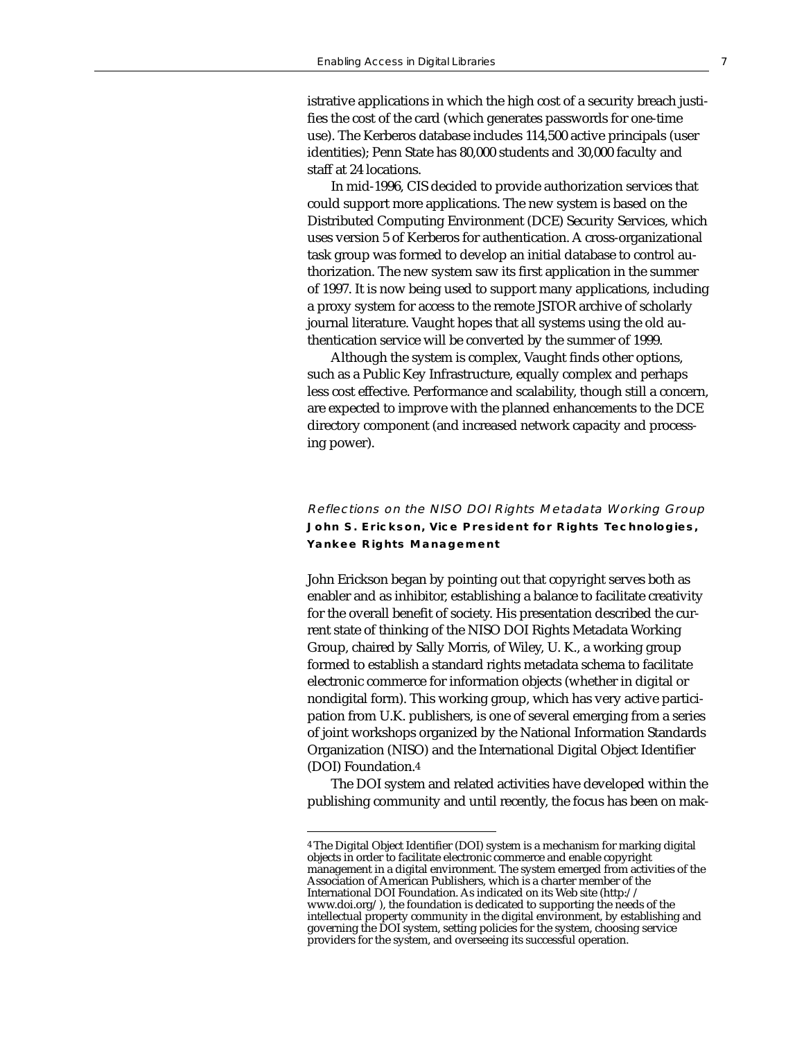istrative applications in which the high cost of a security breach justifies the cost of the card (which generates passwords for one-time use). The Kerberos database includes 114,500 active principals (user identities); Penn State has 80,000 students and 30,000 faculty and staff at 24 locations.

In mid-1996, CIS decided to provide authorization services that could support more applications. The new system is based on the Distributed Computing Environment (DCE) Security Services, which uses version 5 of Kerberos for authentication. A cross-organizational task group was formed to develop an initial database to control authorization. The new system saw its first application in the summer of 1997. It is now being used to support many applications, including a proxy system for access to the remote JSTOR archive of scholarly journal literature. Vaught hopes that all systems using the old authentication service will be converted by the summer of 1999.

Although the system is complex, Vaught finds other options, such as a Public Key Infrastructure, equally complex and perhaps less cost effective. Performance and scalability, though still a concern, are expected to improve with the planned enhancements to the DCE directory component (and increased network capacity and processing power).

# Reflections on the NISO DOI Rights Metadata Working Group **John S. Erickson, Vice President for Rights Technologies, Yankee Rights Management**

John Erickson began by pointing out that copyright serves both as enabler and as inhibitor, establishing a balance to facilitate creativity for the overall benefit of society. His presentation described the current state of thinking of the NISO DOI Rights Metadata Working Group, chaired by Sally Morris, of Wiley, U. K., a working group formed to establish a standard rights metadata schema to facilitate electronic commerce for information objects (whether in digital or nondigital form). This working group, which has very active participation from U.K. publishers, is one of several emerging from a series of joint workshops organized by the National Information Standards Organization (NISO) and the International Digital Object Identifier (DOI) Foundation.4

The DOI system and related activities have developed within the publishing community and until recently, the focus has been on mak-

<sup>4</sup> The Digital Object Identifier (DOI) system is a mechanism for marking digital objects in order to facilitate electronic commerce and enable copyright management in a digital environment. The system emerged from activities of the Association of American Publishers, which is a charter member of the International DOI Foundation. As indicated on its Web site (http:// www.doi.org/), the foundation is dedicated to supporting the needs of the intellectual property community in the digital environment, by establishing and governing the DOI system, setting policies for the system, choosing service providers for the system, and overseeing its successful operation.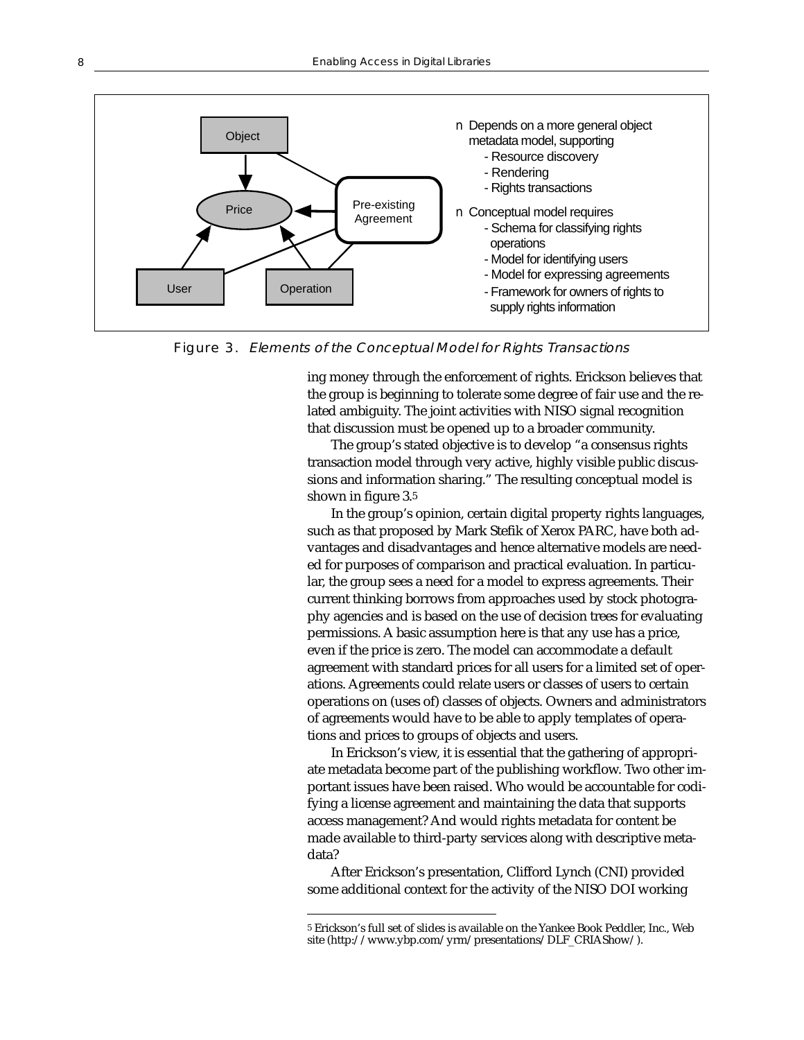

Figure 3. Elements of the Conceptual Model for Rights Transactions

ing money through the enforcement of rights. Erickson believes that the group is beginning to tolerate some degree of fair use and the related ambiguity. The joint activities with NISO signal recognition that discussion must be opened up to a broader community.

The group's stated objective is to develop "a consensus rights transaction model through very active, highly visible public discussions and information sharing." The resulting conceptual model is shown in figure 3.5

In the group's opinion, certain digital property rights languages, such as that proposed by Mark Stefik of Xerox PARC, have both advantages and disadvantages and hence alternative models are needed for purposes of comparison and practical evaluation. In particular, the group sees a need for a model to express agreements. Their current thinking borrows from approaches used by stock photography agencies and is based on the use of decision trees for evaluating permissions. A basic assumption here is that any use has a price, even if the price is zero. The model can accommodate a default agreement with standard prices for all users for a limited set of operations. Agreements could relate users or classes of users to certain operations on (uses of) classes of objects. Owners and administrators of agreements would have to be able to apply templates of operations and prices to groups of objects and users.

In Erickson's view, it is essential that the gathering of appropriate metadata become part of the publishing workflow. Two other important issues have been raised. Who would be accountable for codifying a license agreement and maintaining the data that supports access management? And would rights metadata for content be made available to third-party services along with descriptive metadata?

After Erickson's presentation, Clifford Lynch (CNI) provided some additional context for the activity of the NISO DOI working

<sup>5</sup> Erickson's full set of slides is available on the Yankee Book Peddler, Inc., Web site (http://www.ybp.com/yrm/presentations/DLF\_CRIAShow/).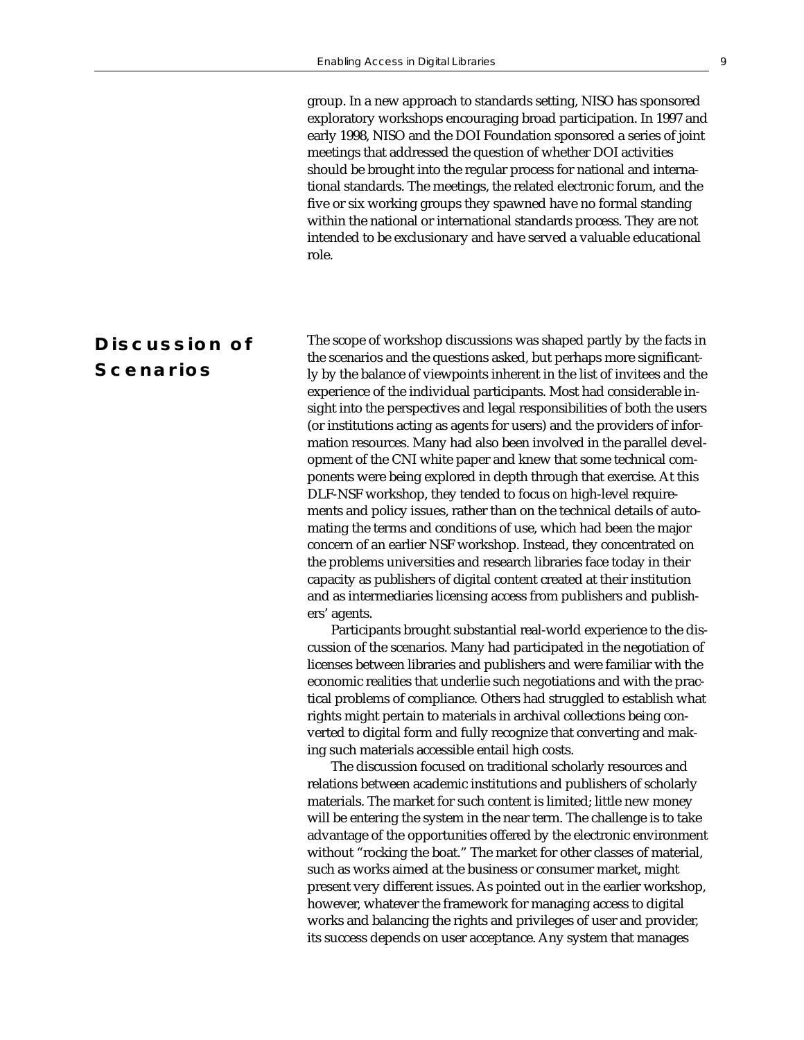group. In a new approach to standards setting, NISO has sponsored exploratory workshops encouraging broad participation. In 1997 and early 1998, NISO and the DOI Foundation sponsored a series of joint meetings that addressed the question of whether DOI activities should be brought into the regular process for national and international standards. The meetings, the related electronic forum, and the five or six working groups they spawned have no formal standing within the national or international standards process. They are not intended to be exclusionary and have served a valuable educational role.

# **Discussion of Scenarios**

The scope of workshop discussions was shaped partly by the facts in the scenarios and the questions asked, but perhaps more significantly by the balance of viewpoints inherent in the list of invitees and the experience of the individual participants. Most had considerable insight into the perspectives and legal responsibilities of both the users (or institutions acting as agents for users) and the providers of information resources. Many had also been involved in the parallel development of the CNI white paper and knew that some technical components were being explored in depth through that exercise. At this DLF-NSF workshop, they tended to focus on high-level requirements and policy issues, rather than on the technical details of automating the terms and conditions of use, which had been the major concern of an earlier NSF workshop. Instead, they concentrated on the problems universities and research libraries face today in their capacity as publishers of digital content created at their institution and as intermediaries licensing access from publishers and publishers' agents.

Participants brought substantial real-world experience to the discussion of the scenarios. Many had participated in the negotiation of licenses between libraries and publishers and were familiar with the economic realities that underlie such negotiations and with the practical problems of compliance. Others had struggled to establish what rights might pertain to materials in archival collections being converted to digital form and fully recognize that converting and making such materials accessible entail high costs.

The discussion focused on traditional scholarly resources and relations between academic institutions and publishers of scholarly materials. The market for such content is limited; little new money will be entering the system in the near term. The challenge is to take advantage of the opportunities offered by the electronic environment without "rocking the boat." The market for other classes of material, such as works aimed at the business or consumer market, might present very different issues. As pointed out in the earlier workshop, however, whatever the framework for managing access to digital works and balancing the rights and privileges of user and provider, its success depends on user acceptance. Any system that manages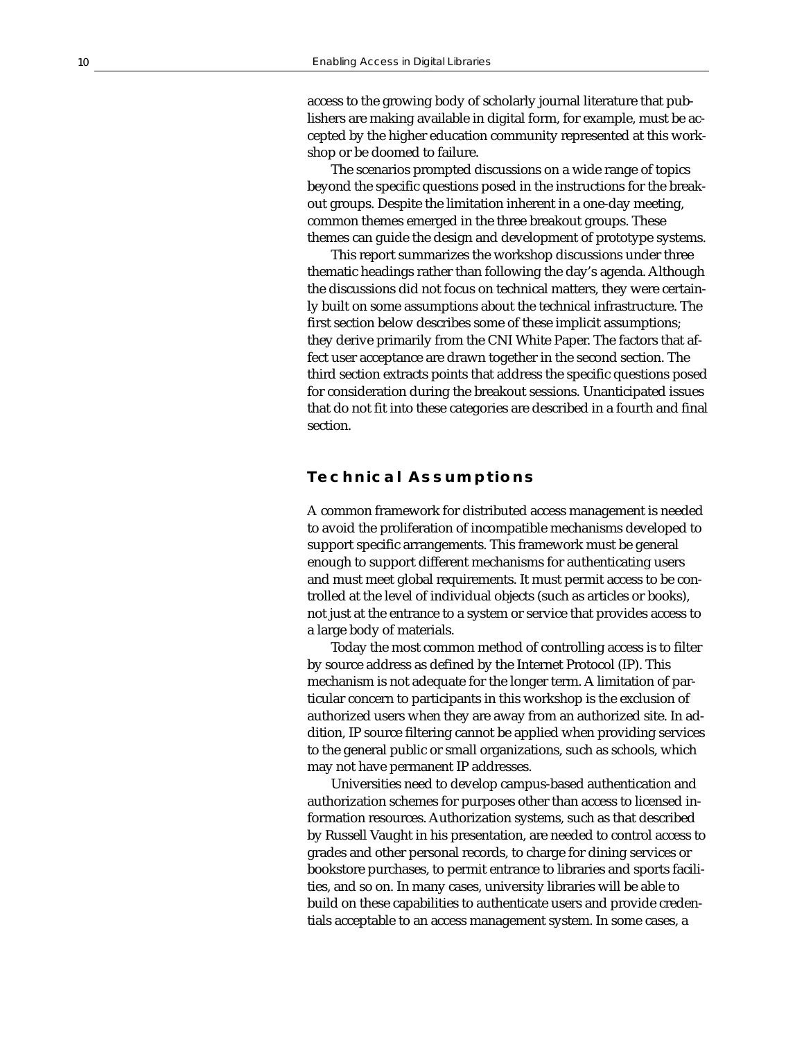access to the growing body of scholarly journal literature that publishers are making available in digital form, for example, must be accepted by the higher education community represented at this workshop or be doomed to failure.

The scenarios prompted discussions on a wide range of topics beyond the specific questions posed in the instructions for the breakout groups. Despite the limitation inherent in a one-day meeting, common themes emerged in the three breakout groups. These themes can guide the design and development of prototype systems.

This report summarizes the workshop discussions under three thematic headings rather than following the day's agenda. Although the discussions did not focus on technical matters, they were certainly built on some assumptions about the technical infrastructure. The first section below describes some of these implicit assumptions; they derive primarily from the CNI White Paper. The factors that affect user acceptance are drawn together in the second section. The third section extracts points that address the specific questions posed for consideration during the breakout sessions. Unanticipated issues that do not fit into these categories are described in a fourth and final section.

# **Technical Assumptions**

A common framework for distributed access management is needed to avoid the proliferation of incompatible mechanisms developed to support specific arrangements. This framework must be general enough to support different mechanisms for authenticating users and must meet global requirements. It must permit access to be controlled at the level of individual objects (such as articles or books), not just at the entrance to a system or service that provides access to a large body of materials.

Today the most common method of controlling access is to filter by source address as defined by the Internet Protocol (IP). This mechanism is not adequate for the longer term. A limitation of particular concern to participants in this workshop is the exclusion of authorized users when they are away from an authorized site. In addition, IP source filtering cannot be applied when providing services to the general public or small organizations, such as schools, which may not have permanent IP addresses.

Universities need to develop campus-based authentication and authorization schemes for purposes other than access to licensed information resources. Authorization systems, such as that described by Russell Vaught in his presentation, are needed to control access to grades and other personal records, to charge for dining services or bookstore purchases, to permit entrance to libraries and sports facilities, and so on. In many cases, university libraries will be able to build on these capabilities to authenticate users and provide credentials acceptable to an access management system. In some cases, a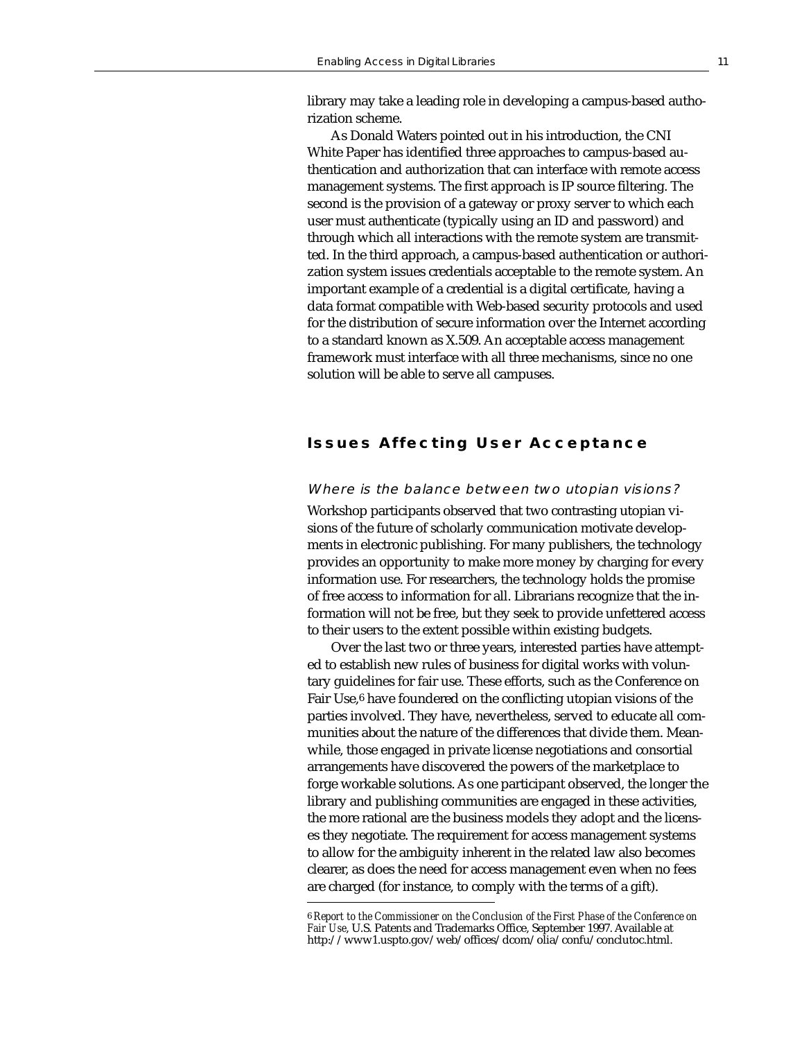library may take a leading role in developing a campus-based authorization scheme.

As Donald Waters pointed out in his introduction, the CNI White Paper has identified three approaches to campus-based authentication and authorization that can interface with remote access management systems. The first approach is IP source filtering. The second is the provision of a gateway or proxy server to which each user must authenticate (typically using an ID and password) and through which all interactions with the remote system are transmitted. In the third approach, a campus-based authentication or authorization system issues credentials acceptable to the remote system. An important example of a credential is a digital certificate, having a data format compatible with Web-based security protocols and used for the distribution of secure information over the Internet according to a standard known as X.509. An acceptable access management framework must interface with all three mechanisms, since no one solution will be able to serve all campuses.

# **Issues Affecting User Acceptance**

#### Where is the balance between two utopian visions?

Workshop participants observed that two contrasting utopian visions of the future of scholarly communication motivate developments in electronic publishing. For many publishers, the technology provides an opportunity to make more money by charging for every information use. For researchers, the technology holds the promise of free access to information for all. Librarians recognize that the information will not be free, but they seek to provide unfettered access to their users to the extent possible within existing budgets.

Over the last two or three years, interested parties have attempted to establish new rules of business for digital works with voluntary guidelines for fair use. These efforts, such as the Conference on Fair Use,6 have foundered on the conflicting utopian visions of the parties involved. They have, nevertheless, served to educate all communities about the nature of the differences that divide them. Meanwhile, those engaged in private license negotiations and consortial arrangements have discovered the powers of the marketplace to forge workable solutions. As one participant observed, the longer the library and publishing communities are engaged in these activities, the more rational are the business models they adopt and the licenses they negotiate. The requirement for access management systems to allow for the ambiguity inherent in the related law also becomes clearer, as does the need for access management even when no fees are charged (for instance, to comply with the terms of a gift).

<sup>6</sup> *Report to the Commissioner on the Conclusion of the First Phase of the Conference on Fair Use*, U.S. Patents and Trademarks Office, September 1997. Available at http://www1.uspto.gov/web/offices/dcom/olia/confu/conclutoc.html.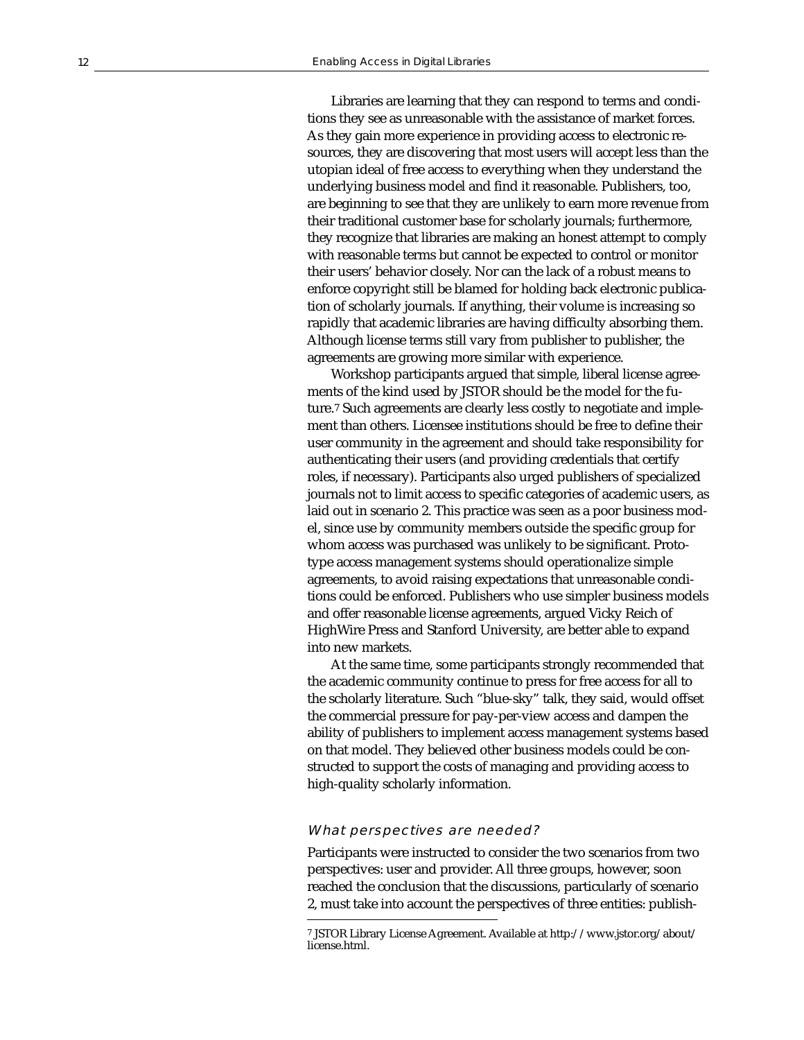Libraries are learning that they can respond to terms and conditions they see as unreasonable with the assistance of market forces. As they gain more experience in providing access to electronic resources, they are discovering that most users will accept less than the utopian ideal of free access to everything when they understand the underlying business model and find it reasonable. Publishers, too, are beginning to see that they are unlikely to earn more revenue from their traditional customer base for scholarly journals; furthermore, they recognize that libraries are making an honest attempt to comply with reasonable terms but cannot be expected to control or monitor their users' behavior closely. Nor can the lack of a robust means to enforce copyright still be blamed for holding back electronic publication of scholarly journals. If anything, their volume is increasing so rapidly that academic libraries are having difficulty absorbing them. Although license terms still vary from publisher to publisher, the agreements are growing more similar with experience.

Workshop participants argued that simple, liberal license agreements of the kind used by JSTOR should be the model for the future.7 Such agreements are clearly less costly to negotiate and implement than others. Licensee institutions should be free to define their user community in the agreement and should take responsibility for authenticating their users (and providing credentials that certify roles, if necessary). Participants also urged publishers of specialized journals not to limit access to specific categories of academic users, as laid out in scenario 2. This practice was seen as a poor business model, since use by community members outside the specific group for whom access was purchased was unlikely to be significant. Prototype access management systems should operationalize simple agreements, to avoid raising expectations that unreasonable conditions could be enforced. Publishers who use simpler business models and offer reasonable license agreements, argued Vicky Reich of HighWire Press and Stanford University, are better able to expand into new markets.

At the same time, some participants strongly recommended that the academic community continue to press for free access for all to the scholarly literature. Such "blue-sky" talk, they said, would offset the commercial pressure for pay-per-view access and dampen the ability of publishers to implement access management systems based on that model. They believed other business models could be constructed to support the costs of managing and providing access to high-quality scholarly information.

#### What perspectives are needed?

Participants were instructed to consider the two scenarios from two perspectives: user and provider. All three groups, however, soon reached the conclusion that the discussions, particularly of scenario 2, must take into account the perspectives of three entities: publish-

<sup>7</sup> JSTOR Library License Agreement. Available at http://www.jstor.org/about/ license.html.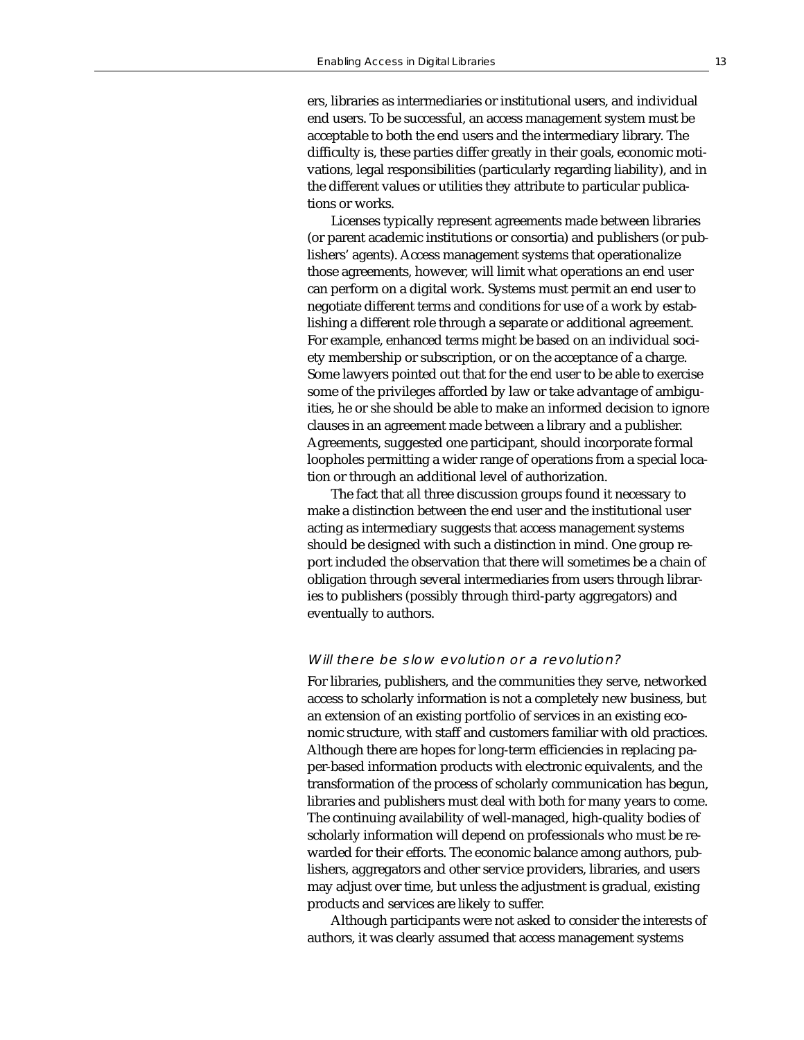ers, libraries as intermediaries or institutional users, and individual end users. To be successful, an access management system must be acceptable to both the end users and the intermediary library. The difficulty is, these parties differ greatly in their goals, economic motivations, legal responsibilities (particularly regarding liability), and in the different values or utilities they attribute to particular publications or works.

Licenses typically represent agreements made between libraries (or parent academic institutions or consortia) and publishers (or publishers' agents). Access management systems that operationalize those agreements, however, will limit what operations an end user can perform on a digital work. Systems must permit an end user to negotiate different terms and conditions for use of a work by establishing a different role through a separate or additional agreement. For example, enhanced terms might be based on an individual society membership or subscription, or on the acceptance of a charge. Some lawyers pointed out that for the end user to be able to exercise some of the privileges afforded by law or take advantage of ambiguities, he or she should be able to make an informed decision to ignore clauses in an agreement made between a library and a publisher. Agreements, suggested one participant, should incorporate formal loopholes permitting a wider range of operations from a special location or through an additional level of authorization.

The fact that all three discussion groups found it necessary to make a distinction between the end user and the institutional user acting as intermediary suggests that access management systems should be designed with such a distinction in mind. One group report included the observation that there will sometimes be a chain of obligation through several intermediaries from users through libraries to publishers (possibly through third-party aggregators) and eventually to authors.

#### Will there be slow evolution or a revolution?

For libraries, publishers, and the communities they serve, networked access to scholarly information is not a completely new business, but an extension of an existing portfolio of services in an existing economic structure, with staff and customers familiar with old practices. Although there are hopes for long-term efficiencies in replacing paper-based information products with electronic equivalents, and the transformation of the process of scholarly communication has begun, libraries and publishers must deal with both for many years to come. The continuing availability of well-managed, high-quality bodies of scholarly information will depend on professionals who must be rewarded for their efforts. The economic balance among authors, publishers, aggregators and other service providers, libraries, and users may adjust over time, but unless the adjustment is gradual, existing products and services are likely to suffer.

Although participants were not asked to consider the interests of authors, it was clearly assumed that access management systems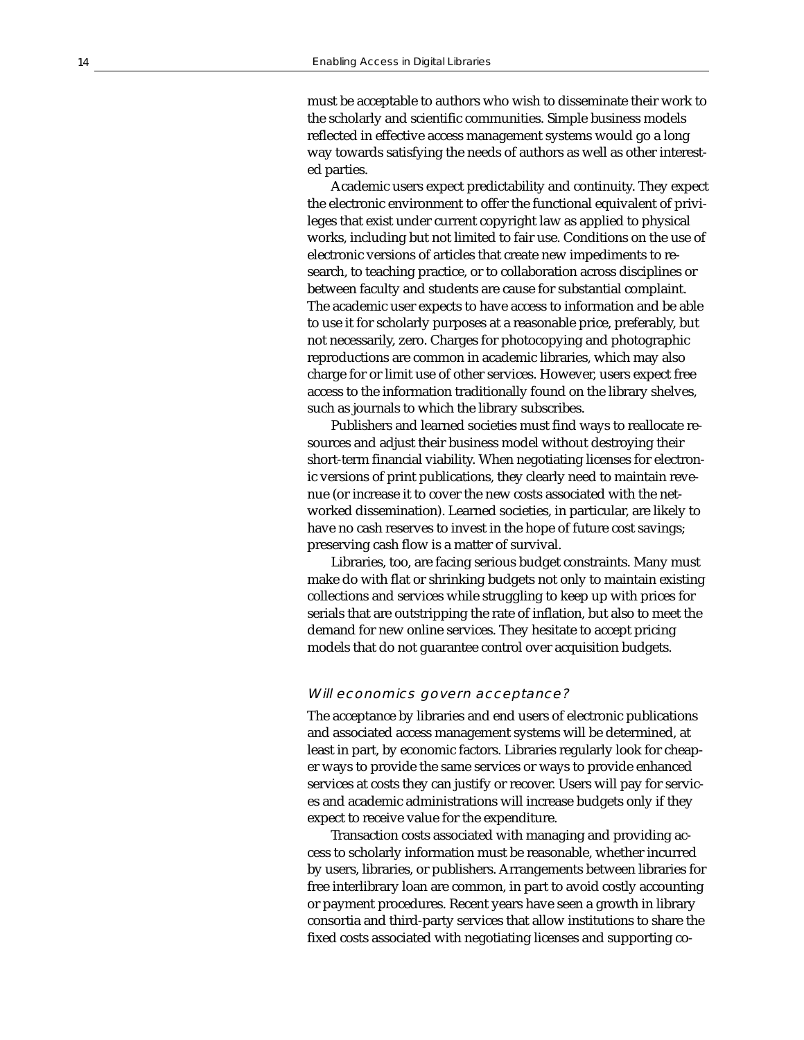must be acceptable to authors who wish to disseminate their work to the scholarly and scientific communities. Simple business models reflected in effective access management systems would go a long way towards satisfying the needs of authors as well as other interested parties.

Academic users expect predictability and continuity. They expect the electronic environment to offer the functional equivalent of privileges that exist under current copyright law as applied to physical works, including but not limited to fair use. Conditions on the use of electronic versions of articles that create new impediments to research, to teaching practice, or to collaboration across disciplines or between faculty and students are cause for substantial complaint. The academic user expects to have access to information and be able to use it for scholarly purposes at a reasonable price, preferably, but not necessarily, zero. Charges for photocopying and photographic reproductions are common in academic libraries, which may also charge for or limit use of other services. However, users expect free access to the information traditionally found on the library shelves, such as journals to which the library subscribes.

Publishers and learned societies must find ways to reallocate resources and adjust their business model without destroying their short-term financial viability. When negotiating licenses for electronic versions of print publications, they clearly need to maintain revenue (or increase it to cover the new costs associated with the networked dissemination). Learned societies, in particular, are likely to have no cash reserves to invest in the hope of future cost savings; preserving cash flow is a matter of survival.

Libraries, too, are facing serious budget constraints. Many must make do with flat or shrinking budgets not only to maintain existing collections and services while struggling to keep up with prices for serials that are outstripping the rate of inflation, but also to meet the demand for new online services. They hesitate to accept pricing models that do not guarantee control over acquisition budgets.

# Will economics govern acceptance?

The acceptance by libraries and end users of electronic publications and associated access management systems will be determined, at least in part, by economic factors. Libraries regularly look for cheaper ways to provide the same services or ways to provide enhanced services at costs they can justify or recover. Users will pay for services and academic administrations will increase budgets only if they expect to receive value for the expenditure.

Transaction costs associated with managing and providing access to scholarly information must be reasonable, whether incurred by users, libraries, or publishers. Arrangements between libraries for free interlibrary loan are common, in part to avoid costly accounting or payment procedures. Recent years have seen a growth in library consortia and third-party services that allow institutions to share the fixed costs associated with negotiating licenses and supporting co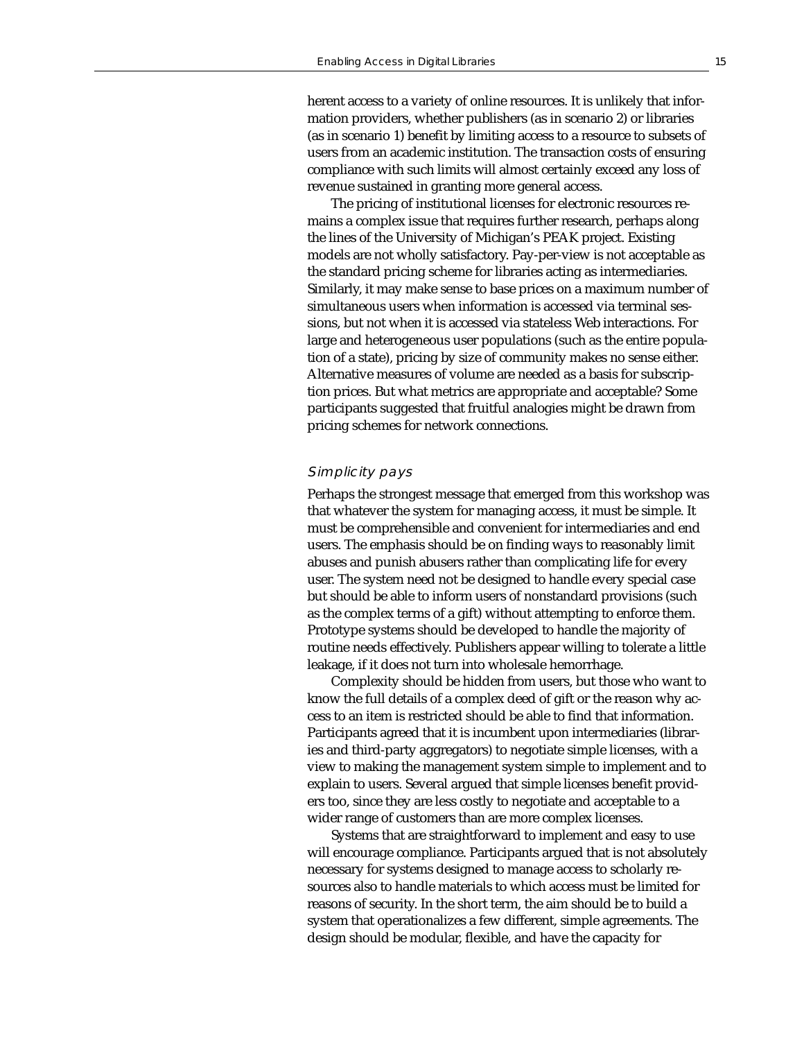herent access to a variety of online resources. It is unlikely that information providers, whether publishers (as in scenario 2) or libraries (as in scenario 1) benefit by limiting access to a resource to subsets of users from an academic institution. The transaction costs of ensuring compliance with such limits will almost certainly exceed any loss of revenue sustained in granting more general access.

The pricing of institutional licenses for electronic resources remains a complex issue that requires further research, perhaps along the lines of the University of Michigan's PEAK project. Existing models are not wholly satisfactory. Pay-per-view is not acceptable as the standard pricing scheme for libraries acting as intermediaries. Similarly, it may make sense to base prices on a maximum number of simultaneous users when information is accessed via terminal sessions, but not when it is accessed via stateless Web interactions. For large and heterogeneous user populations (such as the entire population of a state), pricing by size of community makes no sense either. Alternative measures of volume are needed as a basis for subscription prices. But what metrics are appropriate and acceptable? Some participants suggested that fruitful analogies might be drawn from pricing schemes for network connections.

## Simplicity pays

Perhaps the strongest message that emerged from this workshop was that whatever the system for managing access, it must be simple. It must be comprehensible and convenient for intermediaries and end users. The emphasis should be on finding ways to reasonably limit abuses and punish abusers rather than complicating life for every user. The system need not be designed to handle every special case but should be able to inform users of nonstandard provisions (such as the complex terms of a gift) without attempting to enforce them. Prototype systems should be developed to handle the majority of routine needs effectively. Publishers appear willing to tolerate a little leakage, if it does not turn into wholesale hemorrhage.

Complexity should be hidden from users, but those who want to know the full details of a complex deed of gift or the reason why access to an item is restricted should be able to find that information. Participants agreed that it is incumbent upon intermediaries (libraries and third-party aggregators) to negotiate simple licenses, with a view to making the management system simple to implement and to explain to users. Several argued that simple licenses benefit providers too, since they are less costly to negotiate and acceptable to a wider range of customers than are more complex licenses.

Systems that are straightforward to implement and easy to use will encourage compliance. Participants argued that is not absolutely necessary for systems designed to manage access to scholarly resources also to handle materials to which access must be limited for reasons of security. In the short term, the aim should be to build a system that operationalizes a few different, simple agreements. The design should be modular, flexible, and have the capacity for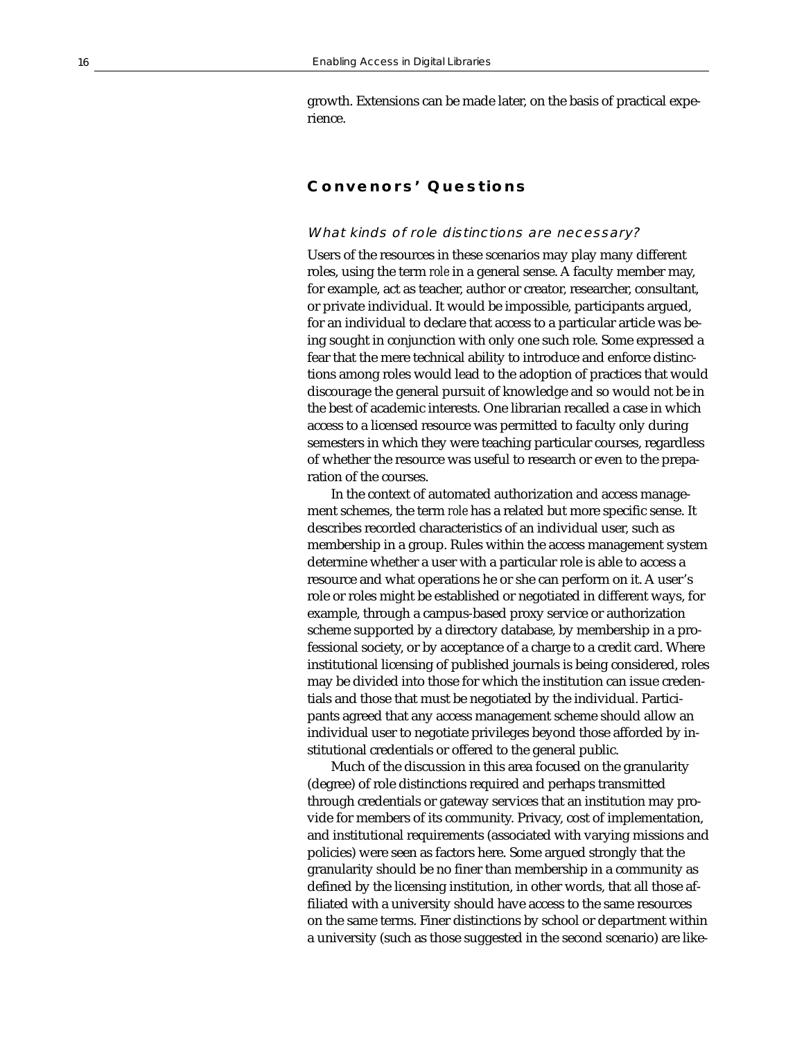growth. Extensions can be made later, on the basis of practical experience.

# **Convenors' Questions**

## What kinds of role distinctions are necessary?

Users of the resources in these scenarios may play many different roles, using the term *role* in a general sense. A faculty member may, for example, act as teacher, author or creator, researcher, consultant, or private individual. It would be impossible, participants argued, for an individual to declare that access to a particular article was being sought in conjunction with only one such role. Some expressed a fear that the mere technical ability to introduce and enforce distinctions among roles would lead to the adoption of practices that would discourage the general pursuit of knowledge and so would not be in the best of academic interests. One librarian recalled a case in which access to a licensed resource was permitted to faculty only during semesters in which they were teaching particular courses, regardless of whether the resource was useful to research or even to the preparation of the courses.

In the context of automated authorization and access management schemes, the term *role* has a related but more specific sense. It describes recorded characteristics of an individual user, such as membership in a group. Rules within the access management system determine whether a user with a particular role is able to access a resource and what operations he or she can perform on it. A user's role or roles might be established or negotiated in different ways, for example, through a campus-based proxy service or authorization scheme supported by a directory database, by membership in a professional society, or by acceptance of a charge to a credit card. Where institutional licensing of published journals is being considered, roles may be divided into those for which the institution can issue credentials and those that must be negotiated by the individual. Participants agreed that any access management scheme should allow an individual user to negotiate privileges beyond those afforded by institutional credentials or offered to the general public.

Much of the discussion in this area focused on the granularity (degree) of role distinctions required and perhaps transmitted through credentials or gateway services that an institution may provide for members of its community. Privacy, cost of implementation, and institutional requirements (associated with varying missions and policies) were seen as factors here. Some argued strongly that the granularity should be no finer than membership in a community as defined by the licensing institution, in other words, that all those affiliated with a university should have access to the same resources on the same terms. Finer distinctions by school or department within a university (such as those suggested in the second scenario) are like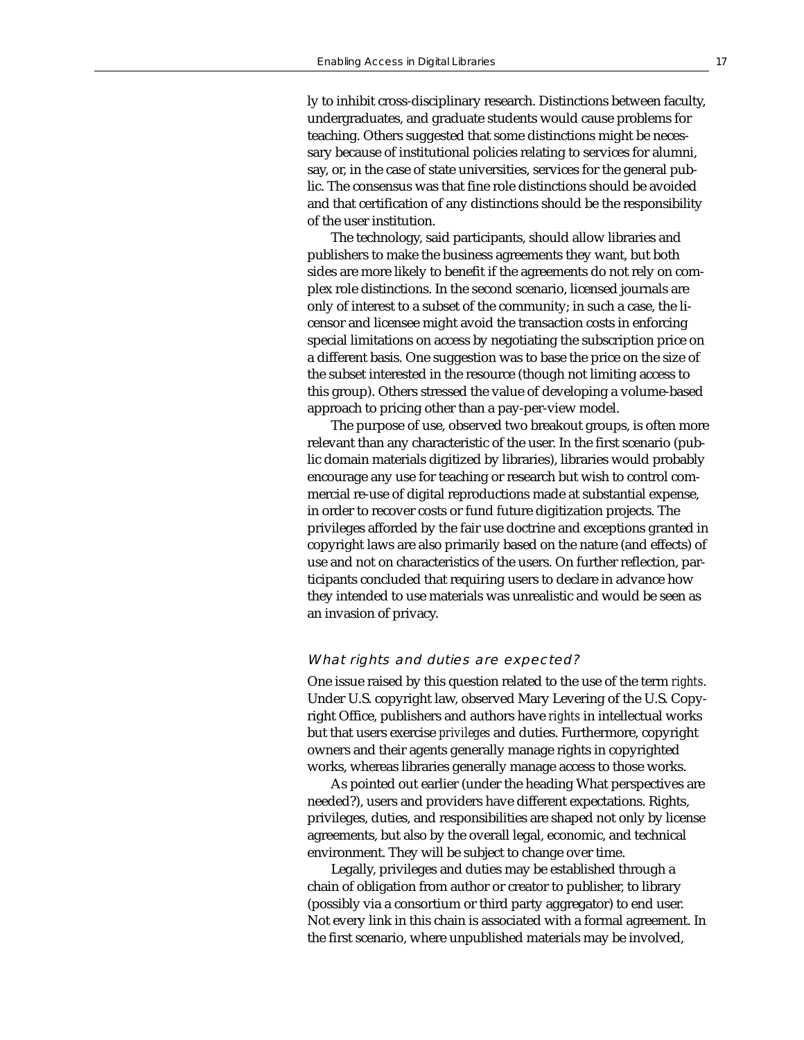ly to inhibit cross-disciplinary research. Distinctions between faculty, undergraduates, and graduate students would cause problems for teaching. Others suggested that some distinctions might be necessary because of institutional policies relating to services for alumni, say, or, in the case of state universities, services for the general public. The consensus was that fine role distinctions should be avoided and that certification of any distinctions should be the responsibility of the user institution.

The technology, said participants, should allow libraries and publishers to make the business agreements they want, but both sides are more likely to benefit if the agreements do not rely on complex role distinctions. In the second scenario, licensed journals are only of interest to a subset of the community; in such a case, the licensor and licensee might avoid the transaction costs in enforcing special limitations on access by negotiating the subscription price on a different basis. One suggestion was to base the price on the size of the subset interested in the resource (though not limiting access to this group). Others stressed the value of developing a volume-based approach to pricing other than a pay-per-view model.

The purpose of use, observed two breakout groups, is often more relevant than any characteristic of the user. In the first scenario (public domain materials digitized by libraries), libraries would probably encourage any use for teaching or research but wish to control commercial re-use of digital reproductions made at substantial expense, in order to recover costs or fund future digitization projects. The privileges afforded by the fair use doctrine and exceptions granted in copyright laws are also primarily based on the nature (and effects) of use and not on characteristics of the users. On further reflection, participants concluded that requiring users to declare in advance how they intended to use materials was unrealistic and would be seen as an invasion of privacy.

#### What rights and duties are expected?

One issue raised by this question related to the use of the term *rights*. Under U.S. copyright law, observed Mary Levering of the U.S. Copyright Office, publishers and authors have *rights* in intellectual works but that users exercise *privileges* and duties. Furthermore, copyright owners and their agents generally manage rights in copyrighted works, whereas libraries generally manage access to those works.

As pointed out earlier (under the heading What perspectives are needed?), users and providers have different expectations. Rights, privileges, duties, and responsibilities are shaped not only by license agreements, but also by the overall legal, economic, and technical environment. They will be subject to change over time.

Legally, privileges and duties may be established through a chain of obligation from author or creator to publisher, to library (possibly via a consortium or third party aggregator) to end user. Not every link in this chain is associated with a formal agreement. In the first scenario, where unpublished materials may be involved,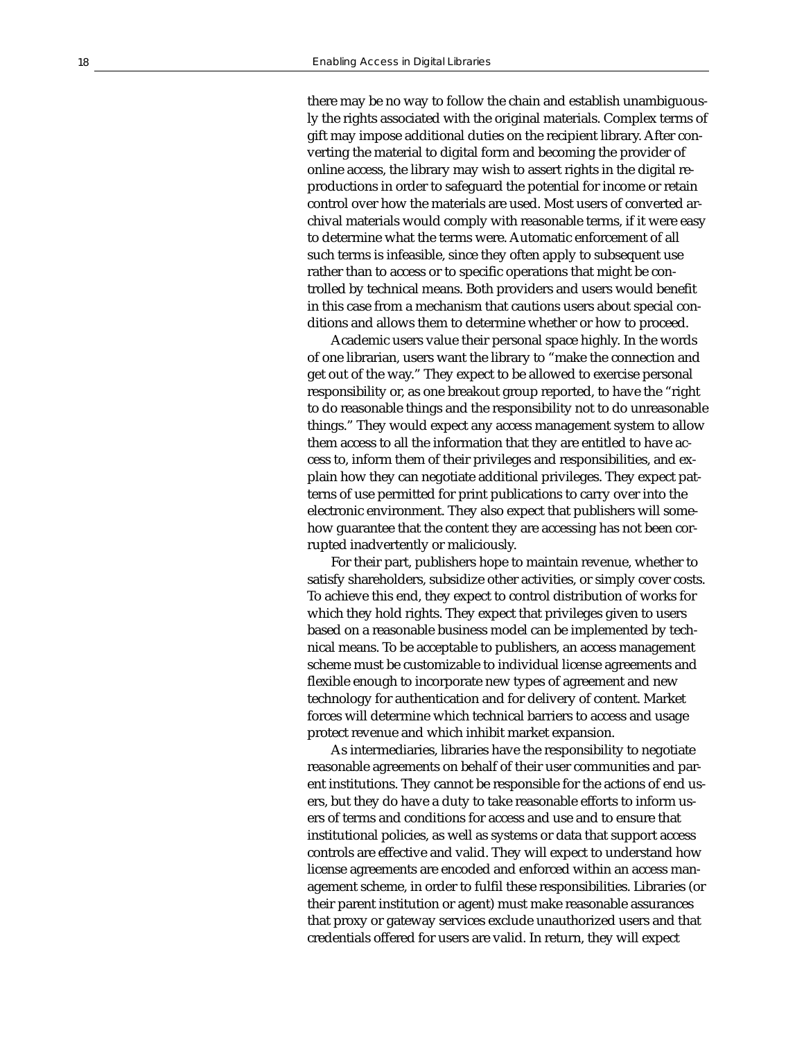there may be no way to follow the chain and establish unambiguously the rights associated with the original materials. Complex terms of gift may impose additional duties on the recipient library. After converting the material to digital form and becoming the provider of online access, the library may wish to assert rights in the digital reproductions in order to safeguard the potential for income or retain control over how the materials are used. Most users of converted archival materials would comply with reasonable terms, if it were easy to determine what the terms were. Automatic enforcement of all such terms is infeasible, since they often apply to subsequent use rather than to access or to specific operations that might be controlled by technical means. Both providers and users would benefit in this case from a mechanism that cautions users about special conditions and allows them to determine whether or how to proceed.

Academic users value their personal space highly. In the words of one librarian, users want the library to "make the connection and get out of the way." They expect to be allowed to exercise personal responsibility or, as one breakout group reported, to have the "right to do reasonable things and the responsibility not to do unreasonable things." They would expect any access management system to allow them access to all the information that they are entitled to have access to, inform them of their privileges and responsibilities, and explain how they can negotiate additional privileges. They expect patterns of use permitted for print publications to carry over into the electronic environment. They also expect that publishers will somehow guarantee that the content they are accessing has not been corrupted inadvertently or maliciously.

For their part, publishers hope to maintain revenue, whether to satisfy shareholders, subsidize other activities, or simply cover costs. To achieve this end, they expect to control distribution of works for which they hold rights. They expect that privileges given to users based on a reasonable business model can be implemented by technical means. To be acceptable to publishers, an access management scheme must be customizable to individual license agreements and flexible enough to incorporate new types of agreement and new technology for authentication and for delivery of content. Market forces will determine which technical barriers to access and usage protect revenue and which inhibit market expansion.

As intermediaries, libraries have the responsibility to negotiate reasonable agreements on behalf of their user communities and parent institutions. They cannot be responsible for the actions of end users, but they do have a duty to take reasonable efforts to inform users of terms and conditions for access and use and to ensure that institutional policies, as well as systems or data that support access controls are effective and valid. They will expect to understand how license agreements are encoded and enforced within an access management scheme, in order to fulfil these responsibilities. Libraries (or their parent institution or agent) must make reasonable assurances that proxy or gateway services exclude unauthorized users and that credentials offered for users are valid. In return, they will expect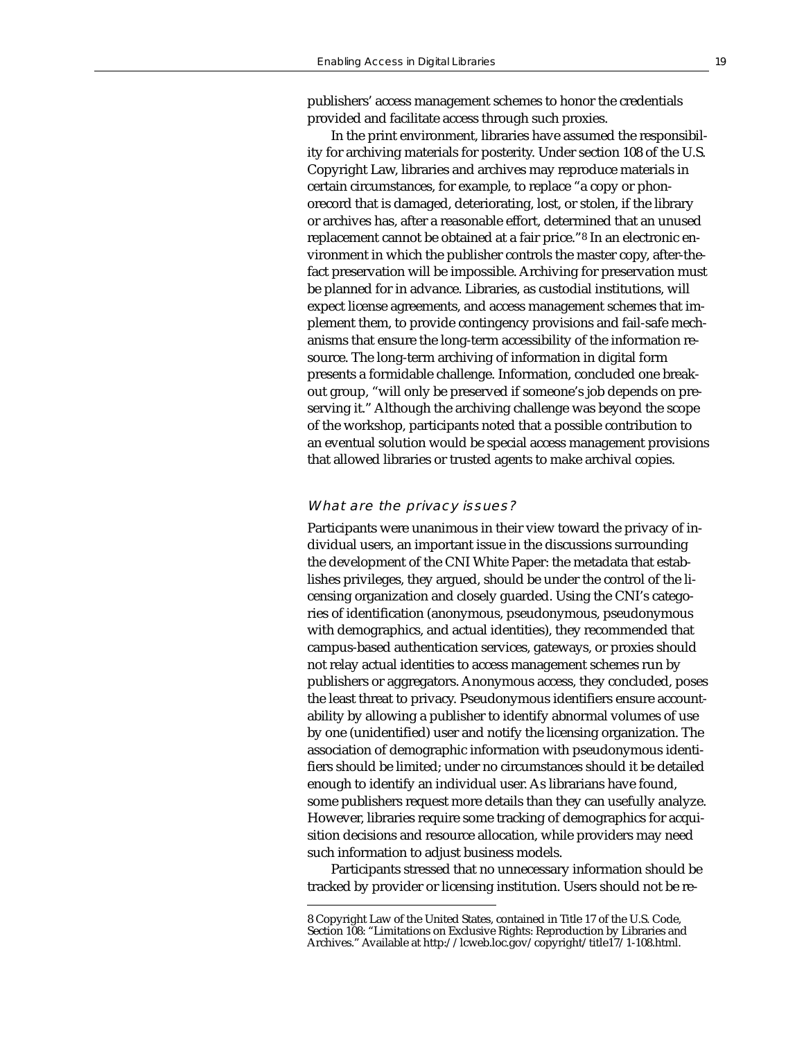publishers' access management schemes to honor the credentials provided and facilitate access through such proxies.

In the print environment, libraries have assumed the responsibility for archiving materials for posterity. Under section 108 of the U.S. Copyright Law, libraries and archives may reproduce materials in certain circumstances, for example, to replace "a copy or phonorecord that is damaged, deteriorating, lost, or stolen, if the library or archives has, after a reasonable effort, determined that an unused replacement cannot be obtained at a fair price."8 In an electronic environment in which the publisher controls the master copy, after-thefact preservation will be impossible. Archiving for preservation must be planned for in advance. Libraries, as custodial institutions, will expect license agreements, and access management schemes that implement them, to provide contingency provisions and fail-safe mechanisms that ensure the long-term accessibility of the information resource. The long-term archiving of information in digital form presents a formidable challenge. Information, concluded one breakout group, "will only be preserved if someone's job depends on preserving it." Although the archiving challenge was beyond the scope of the workshop, participants noted that a possible contribution to an eventual solution would be special access management provisions that allowed libraries or trusted agents to make archival copies.

#### What are the privacy issues?

Participants were unanimous in their view toward the privacy of individual users, an important issue in the discussions surrounding the development of the CNI White Paper: the metadata that establishes privileges, they argued, should be under the control of the licensing organization and closely guarded. Using the CNI's categories of identification (anonymous, pseudonymous, pseudonymous with demographics, and actual identities), they recommended that campus-based authentication services, gateways, or proxies should not relay actual identities to access management schemes run by publishers or aggregators. Anonymous access, they concluded, poses the least threat to privacy. Pseudonymous identifiers ensure accountability by allowing a publisher to identify abnormal volumes of use by one (unidentified) user and notify the licensing organization. The association of demographic information with pseudonymous identifiers should be limited; under no circumstances should it be detailed enough to identify an individual user. As librarians have found, some publishers request more details than they can usefully analyze. However, libraries require some tracking of demographics for acquisition decisions and resource allocation, while providers may need such information to adjust business models.

Participants stressed that no unnecessary information should be tracked by provider or licensing institution. Users should not be re-

<sup>8</sup> Copyright Law of the United States, contained in Title 17 of the U.S. Code, Section 108: "Limitations on Exclusive Rights: Reproduction by Libraries and Archives." Available at http://lcweb.loc.gov/copyright/title17/1-108.html.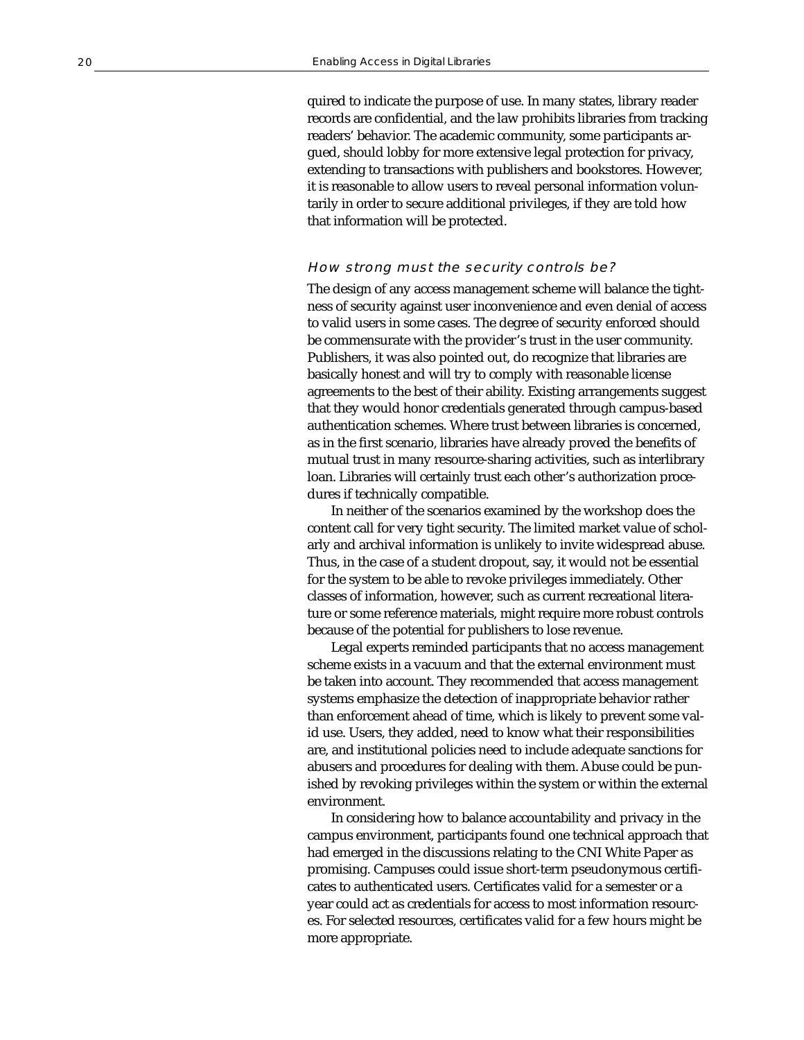quired to indicate the purpose of use. In many states, library reader records are confidential, and the law prohibits libraries from tracking readers' behavior. The academic community, some participants argued, should lobby for more extensive legal protection for privacy, extending to transactions with publishers and bookstores. However, it is reasonable to allow users to reveal personal information voluntarily in order to secure additional privileges, if they are told how that information will be protected.

# How strong must the security controls be?

The design of any access management scheme will balance the tightness of security against user inconvenience and even denial of access to valid users in some cases. The degree of security enforced should be commensurate with the provider's trust in the user community. Publishers, it was also pointed out, do recognize that libraries are basically honest and will try to comply with reasonable license agreements to the best of their ability. Existing arrangements suggest that they would honor credentials generated through campus-based authentication schemes. Where trust between libraries is concerned, as in the first scenario, libraries have already proved the benefits of mutual trust in many resource-sharing activities, such as interlibrary loan. Libraries will certainly trust each other's authorization procedures if technically compatible.

In neither of the scenarios examined by the workshop does the content call for very tight security. The limited market value of scholarly and archival information is unlikely to invite widespread abuse. Thus, in the case of a student dropout, say, it would not be essential for the system to be able to revoke privileges immediately. Other classes of information, however, such as current recreational literature or some reference materials, might require more robust controls because of the potential for publishers to lose revenue.

Legal experts reminded participants that no access management scheme exists in a vacuum and that the external environment must be taken into account. They recommended that access management systems emphasize the detection of inappropriate behavior rather than enforcement ahead of time, which is likely to prevent some valid use. Users, they added, need to know what their responsibilities are, and institutional policies need to include adequate sanctions for abusers and procedures for dealing with them. Abuse could be punished by revoking privileges within the system or within the external environment.

In considering how to balance accountability and privacy in the campus environment, participants found one technical approach that had emerged in the discussions relating to the CNI White Paper as promising. Campuses could issue short-term pseudonymous certificates to authenticated users. Certificates valid for a semester or a year could act as credentials for access to most information resources. For selected resources, certificates valid for a few hours might be more appropriate.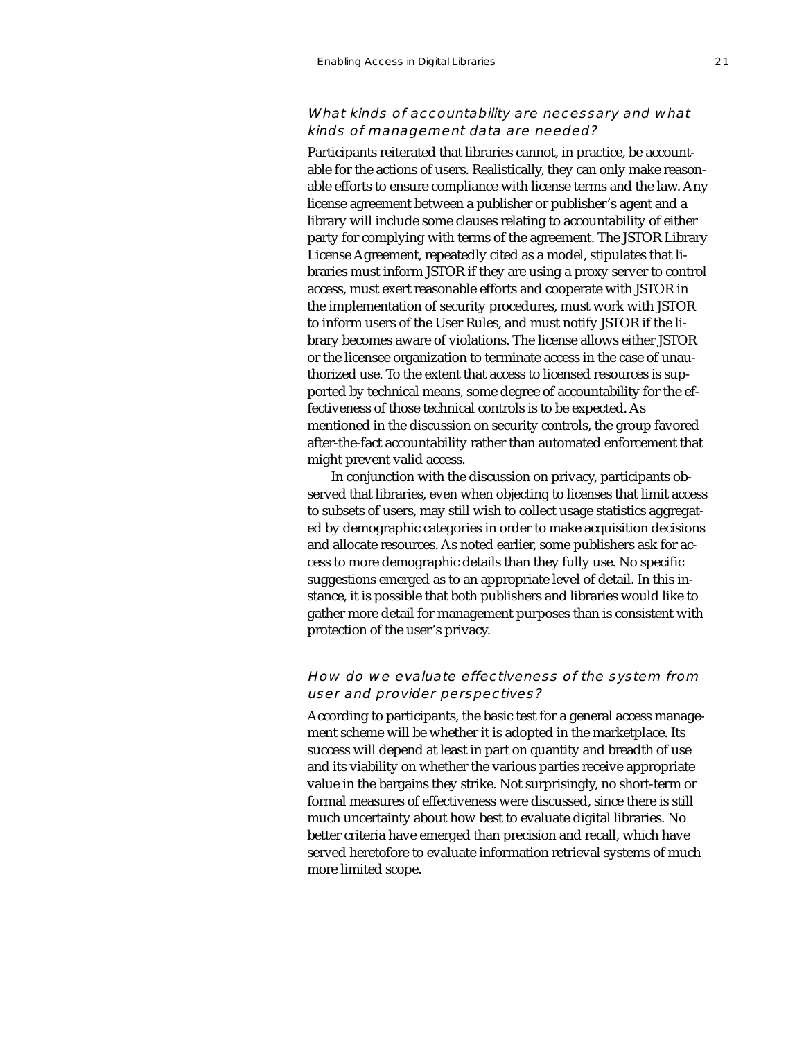# What kinds of accountability are necessary and what kinds of management data are needed?

Participants reiterated that libraries cannot, in practice, be accountable for the actions of users. Realistically, they can only make reasonable efforts to ensure compliance with license terms and the law. Any license agreement between a publisher or publisher's agent and a library will include some clauses relating to accountability of either party for complying with terms of the agreement. The JSTOR Library License Agreement, repeatedly cited as a model, stipulates that libraries must inform JSTOR if they are using a proxy server to control access, must exert reasonable efforts and cooperate with JSTOR in the implementation of security procedures, must work with JSTOR to inform users of the User Rules, and must notify JSTOR if the library becomes aware of violations. The license allows either JSTOR or the licensee organization to terminate access in the case of unauthorized use. To the extent that access to licensed resources is supported by technical means, some degree of accountability for the effectiveness of those technical controls is to be expected. As mentioned in the discussion on security controls, the group favored after-the-fact accountability rather than automated enforcement that might prevent valid access.

In conjunction with the discussion on privacy, participants observed that libraries, even when objecting to licenses that limit access to subsets of users, may still wish to collect usage statistics aggregated by demographic categories in order to make acquisition decisions and allocate resources. As noted earlier, some publishers ask for access to more demographic details than they fully use. No specific suggestions emerged as to an appropriate level of detail. In this instance, it is possible that both publishers and libraries would like to gather more detail for management purposes than is consistent with protection of the user's privacy.

# How do we evaluate effectiveness of the system from user and provider perspectives?

According to participants, the basic test for a general access management scheme will be whether it is adopted in the marketplace. Its success will depend at least in part on quantity and breadth of use and its viability on whether the various parties receive appropriate value in the bargains they strike. Not surprisingly, no short-term or formal measures of effectiveness were discussed, since there is still much uncertainty about how best to evaluate digital libraries. No better criteria have emerged than precision and recall, which have served heretofore to evaluate information retrieval systems of much more limited scope.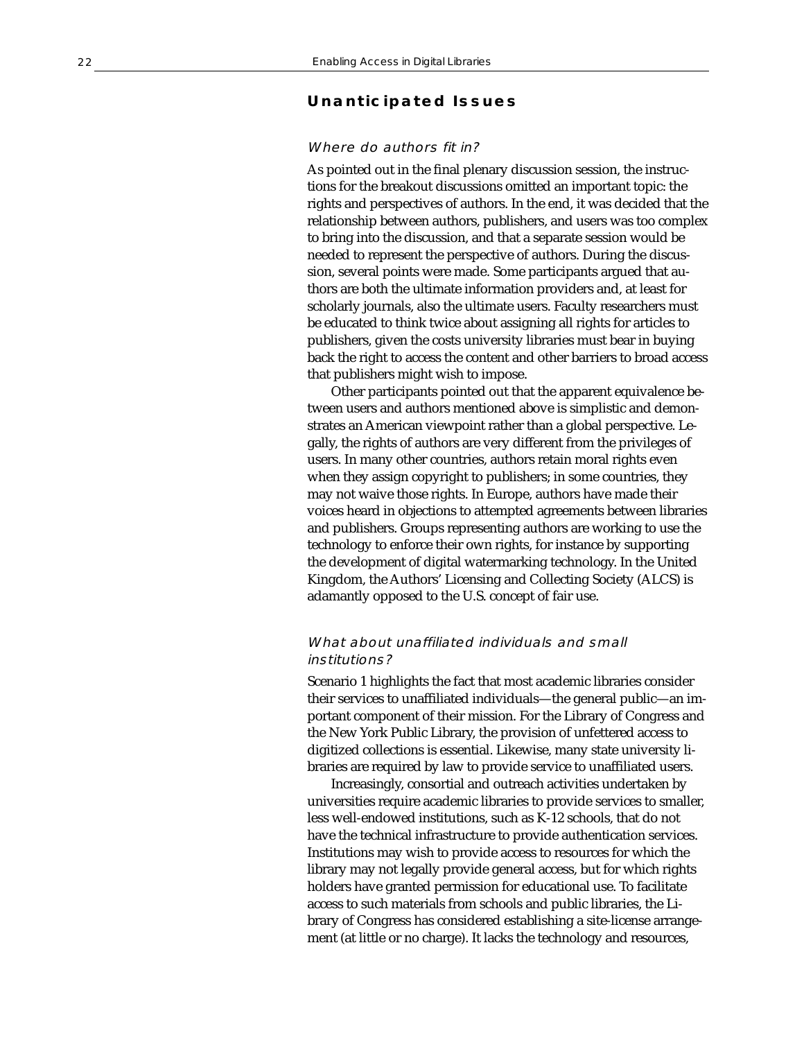# **Unanticipated Issues**

# Where do authors fit in?

As pointed out in the final plenary discussion session, the instructions for the breakout discussions omitted an important topic: the rights and perspectives of authors. In the end, it was decided that the relationship between authors, publishers, and users was too complex to bring into the discussion, and that a separate session would be needed to represent the perspective of authors. During the discussion, several points were made. Some participants argued that authors are both the ultimate information providers and, at least for scholarly journals, also the ultimate users. Faculty researchers must be educated to think twice about assigning all rights for articles to publishers, given the costs university libraries must bear in buying back the right to access the content and other barriers to broad access that publishers might wish to impose.

Other participants pointed out that the apparent equivalence between users and authors mentioned above is simplistic and demonstrates an American viewpoint rather than a global perspective. Legally, the rights of authors are very different from the privileges of users. In many other countries, authors retain moral rights even when they assign copyright to publishers; in some countries, they may not waive those rights. In Europe, authors have made their voices heard in objections to attempted agreements between libraries and publishers. Groups representing authors are working to use the technology to enforce their own rights, for instance by supporting the development of digital watermarking technology. In the United Kingdom, the Authors' Licensing and Collecting Society (ALCS) is adamantly opposed to the U.S. concept of fair use.

# What about unaffiliated individuals and small institutions?

Scenario 1 highlights the fact that most academic libraries consider their services to unaffiliated individuals—the general public—an important component of their mission. For the Library of Congress and the New York Public Library, the provision of unfettered access to digitized collections is essential. Likewise, many state university libraries are required by law to provide service to unaffiliated users.

Increasingly, consortial and outreach activities undertaken by universities require academic libraries to provide services to smaller, less well-endowed institutions, such as K-12 schools, that do not have the technical infrastructure to provide authentication services. Institutions may wish to provide access to resources for which the library may not legally provide general access, but for which rights holders have granted permission for educational use. To facilitate access to such materials from schools and public libraries, the Library of Congress has considered establishing a site-license arrangement (at little or no charge). It lacks the technology and resources,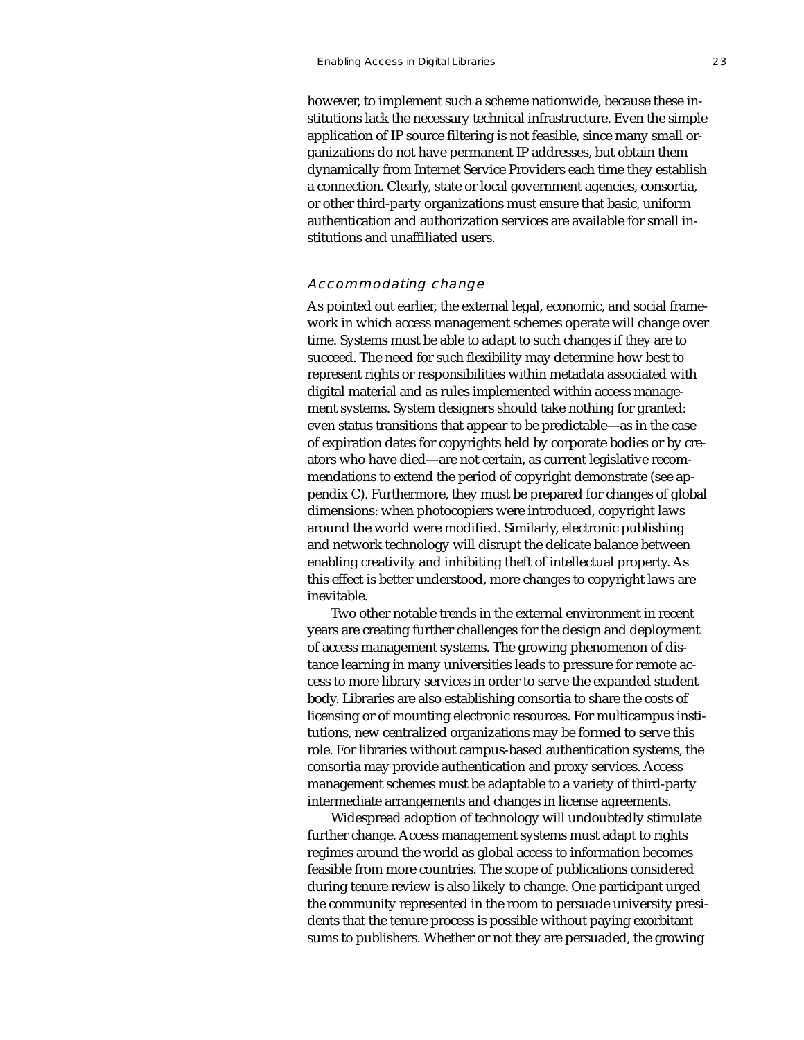however, to implement such a scheme nationwide, because these institutions lack the necessary technical infrastructure. Even the simple application of IP source filtering is not feasible, since many small organizations do not have permanent IP addresses, but obtain them dynamically from Internet Service Providers each time they establish a connection. Clearly, state or local government agencies, consortia, or other third-party organizations must ensure that basic, uniform authentication and authorization services are available for small institutions and unaffiliated users.

#### Accommodating change

As pointed out earlier, the external legal, economic, and social framework in which access management schemes operate will change over time. Systems must be able to adapt to such changes if they are to succeed. The need for such flexibility may determine how best to represent rights or responsibilities within metadata associated with digital material and as rules implemented within access management systems. System designers should take nothing for granted: even status transitions that appear to be predictable—as in the case of expiration dates for copyrights held by corporate bodies or by creators who have died—are not certain, as current legislative recommendations to extend the period of copyright demonstrate (see appendix C). Furthermore, they must be prepared for changes of global dimensions: when photocopiers were introduced, copyright laws around the world were modified. Similarly, electronic publishing and network technology will disrupt the delicate balance between enabling creativity and inhibiting theft of intellectual property. As this effect is better understood, more changes to copyright laws are inevitable.

Two other notable trends in the external environment in recent years are creating further challenges for the design and deployment of access management systems. The growing phenomenon of distance learning in many universities leads to pressure for remote access to more library services in order to serve the expanded student body. Libraries are also establishing consortia to share the costs of licensing or of mounting electronic resources. For multicampus institutions, new centralized organizations may be formed to serve this role. For libraries without campus-based authentication systems, the consortia may provide authentication and proxy services. Access management schemes must be adaptable to a variety of third-party intermediate arrangements and changes in license agreements.

Widespread adoption of technology will undoubtedly stimulate further change. Access management systems must adapt to rights regimes around the world as global access to information becomes feasible from more countries. The scope of publications considered during tenure review is also likely to change. One participant urged the community represented in the room to persuade university presidents that the tenure process is possible without paying exorbitant sums to publishers. Whether or not they are persuaded, the growing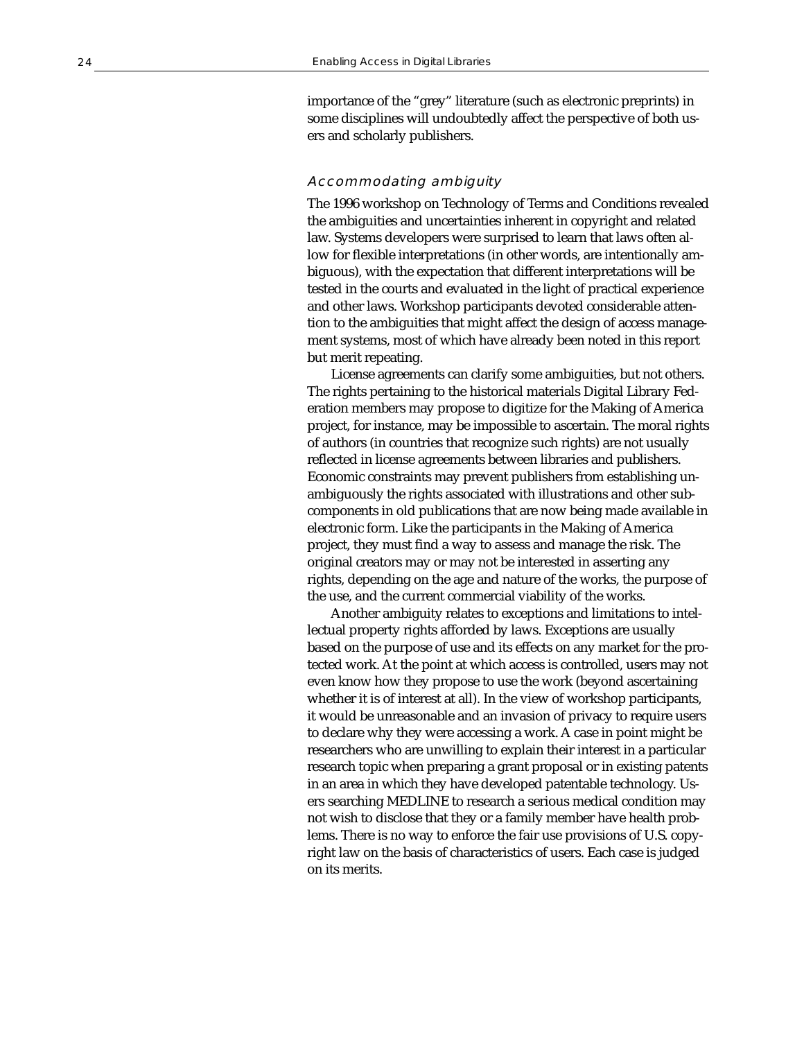importance of the "grey" literature (such as electronic preprints) in some disciplines will undoubtedly affect the perspective of both users and scholarly publishers.

## Accommodating ambiguity

The 1996 workshop on Technology of Terms and Conditions revealed the ambiguities and uncertainties inherent in copyright and related law. Systems developers were surprised to learn that laws often allow for flexible interpretations (in other words, are intentionally ambiguous), with the expectation that different interpretations will be tested in the courts and evaluated in the light of practical experience and other laws. Workshop participants devoted considerable attention to the ambiguities that might affect the design of access management systems, most of which have already been noted in this report but merit repeating.

License agreements can clarify some ambiguities, but not others. The rights pertaining to the historical materials Digital Library Federation members may propose to digitize for the Making of America project, for instance, may be impossible to ascertain. The moral rights of authors (in countries that recognize such rights) are not usually reflected in license agreements between libraries and publishers. Economic constraints may prevent publishers from establishing unambiguously the rights associated with illustrations and other subcomponents in old publications that are now being made available in electronic form. Like the participants in the Making of America project, they must find a way to assess and manage the risk. The original creators may or may not be interested in asserting any rights, depending on the age and nature of the works, the purpose of the use, and the current commercial viability of the works.

Another ambiguity relates to exceptions and limitations to intellectual property rights afforded by laws. Exceptions are usually based on the purpose of use and its effects on any market for the protected work. At the point at which access is controlled, users may not even know how they propose to use the work (beyond ascertaining whether it is of interest at all). In the view of workshop participants, it would be unreasonable and an invasion of privacy to require users to declare why they were accessing a work. A case in point might be researchers who are unwilling to explain their interest in a particular research topic when preparing a grant proposal or in existing patents in an area in which they have developed patentable technology. Users searching MEDLINE to research a serious medical condition may not wish to disclose that they or a family member have health problems. There is no way to enforce the fair use provisions of U.S. copyright law on the basis of characteristics of users. Each case is judged on its merits.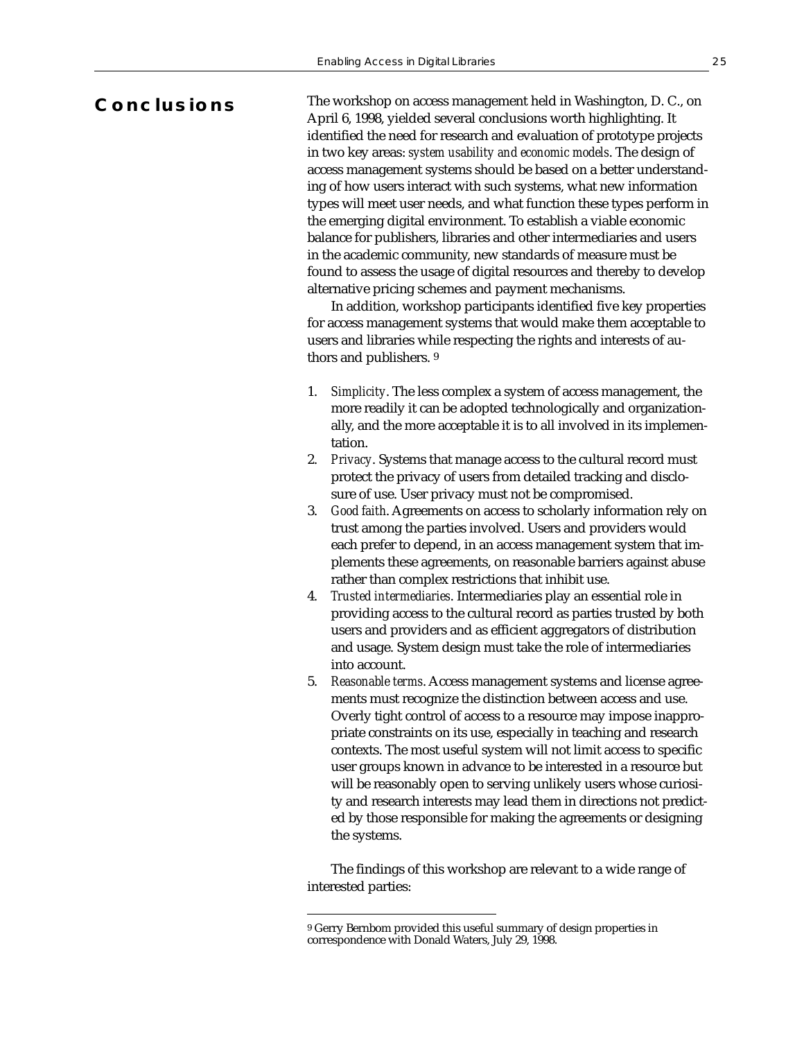# **Conclusions**

The workshop on access management held in Washington, D. C., on April 6, 1998, yielded several conclusions worth highlighting. It identified the need for research and evaluation of prototype projects in two key areas: *system usability and economic models*. The design of access management systems should be based on a better understanding of how users interact with such systems, what new information types will meet user needs, and what function these types perform in the emerging digital environment. To establish a viable economic balance for publishers, libraries and other intermediaries and users in the academic community, new standards of measure must be found to assess the usage of digital resources and thereby to develop alternative pricing schemes and payment mechanisms.

In addition, workshop participants identified five key properties for access management systems that would make them acceptable to users and libraries while respecting the rights and interests of authors and publishers. 9

- 1. *Simplicity*. The less complex a system of access management, the more readily it can be adopted technologically and organizationally, and the more acceptable it is to all involved in its implementation.
- 2. *Privacy*. Systems that manage access to the cultural record must protect the privacy of users from detailed tracking and disclosure of use. User privacy must not be compromised.
- 3. *Good faith*. Agreements on access to scholarly information rely on trust among the parties involved. Users and providers would each prefer to depend, in an access management system that implements these agreements, on reasonable barriers against abuse rather than complex restrictions that inhibit use.
- 4. *Trusted intermediaries*. Intermediaries play an essential role in providing access to the cultural record as parties trusted by both users and providers and as efficient aggregators of distribution and usage. System design must take the role of intermediaries into account.
- 5. *Reasonable terms*. Access management systems and license agreements must recognize the distinction between access and use. Overly tight control of access to a resource may impose inappropriate constraints on its use, especially in teaching and research contexts. The most useful system will not limit access to specific user groups known in advance to be interested in a resource but will be reasonably open to serving unlikely users whose curiosity and research interests may lead them in directions not predicted by those responsible for making the agreements or designing the systems.

The findings of this workshop are relevant to a wide range of interested parties:

<sup>9</sup> Gerry Bernbom provided this useful summary of design properties in correspondence with Donald Waters, July 29, 1998.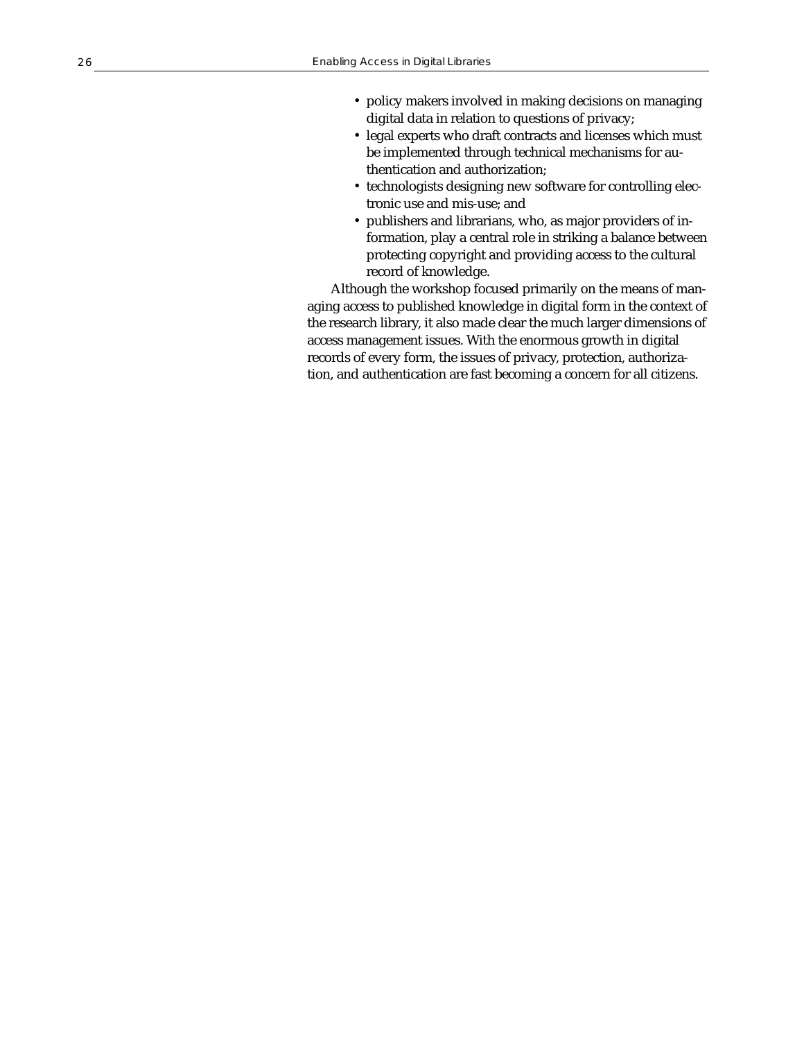- policy makers involved in making decisions on managing digital data in relation to questions of privacy;
- legal experts who draft contracts and licenses which must be implemented through technical mechanisms for authentication and authorization;
- technologists designing new software for controlling electronic use and mis-use; and
- publishers and librarians, who, as major providers of information, play a central role in striking a balance between protecting copyright and providing access to the cultural record of knowledge.

Although the workshop focused primarily on the means of managing access to published knowledge in digital form in the context of the research library, it also made clear the much larger dimensions of access management issues. With the enormous growth in digital records of every form, the issues of privacy, protection, authorization, and authentication are fast becoming a concern for all citizens.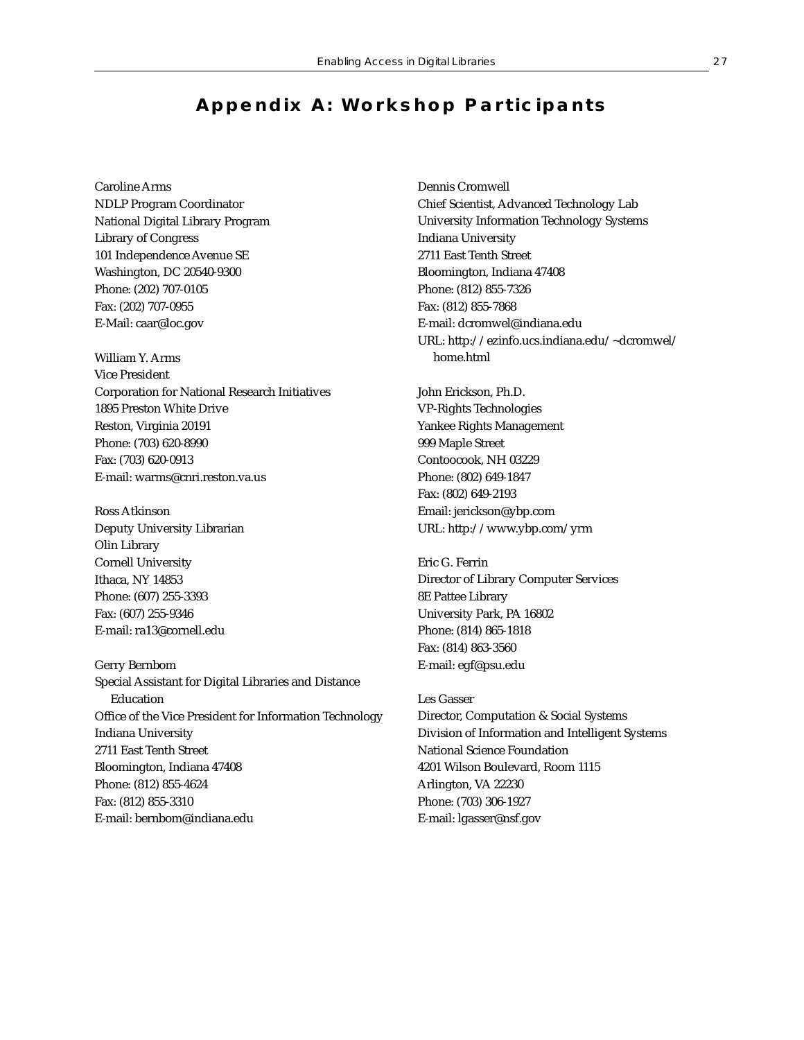# **Appendix A: Workshop Participants**

Caroline Arms NDLP Program Coordinator National Digital Library Program Library of Congress 101 Independence Avenue SE Washington, DC 20540-9300 Phone: (202) 707-0105 Fax: (202) 707-0955 E-Mail: caar@loc.gov

William Y. Arms Vice President Corporation for National Research Initiatives 1895 Preston White Drive Reston, Virginia 20191 Phone: (703) 620-8990 Fax: (703) 620-0913 E-mail: warms@cnri.reston.va.us

Ross Atkinson Deputy University Librarian Olin Library Cornell University Ithaca, NY 14853 Phone: (607) 255-3393 Fax: (607) 255-9346 E-mail: ra13@cornell.edu

Gerry Bernbom Special Assistant for Digital Libraries and Distance Education Office of the Vice President for Information Technology Indiana University 2711 East Tenth Street Bloomington, Indiana 47408 Phone: (812) 855-4624 Fax: (812) 855-3310 E-mail: bernbom@indiana.edu

Dennis Cromwell Chief Scientist, Advanced Technology Lab University Information Technology Systems Indiana University 2711 East Tenth Street Bloomington, Indiana 47408 Phone: (812) 855-7326 Fax: (812) 855-7868 E-mail: dcromwel@indiana.edu URL: http://ezinfo.ucs.indiana.edu/~dcromwel/ home.html

John Erickson, Ph.D. VP-Rights Technologies Yankee Rights Management 999 Maple Street Contoocook, NH 03229 Phone: (802) 649-1847 Fax: (802) 649-2193 Email: jerickson@ybp.com URL: http://www.ybp.com/yrm

Eric G. Ferrin Director of Library Computer Services 8E Pattee Library University Park, PA 16802 Phone: (814) 865-1818 Fax: (814) 863-3560 E-mail: egf@psu.edu

Les Gasser Director, Computation & Social Systems Division of Information and Intelligent Systems National Science Foundation 4201 Wilson Boulevard, Room 1115 Arlington, VA 22230 Phone: (703) 306-1927 E-mail: lgasser@nsf.gov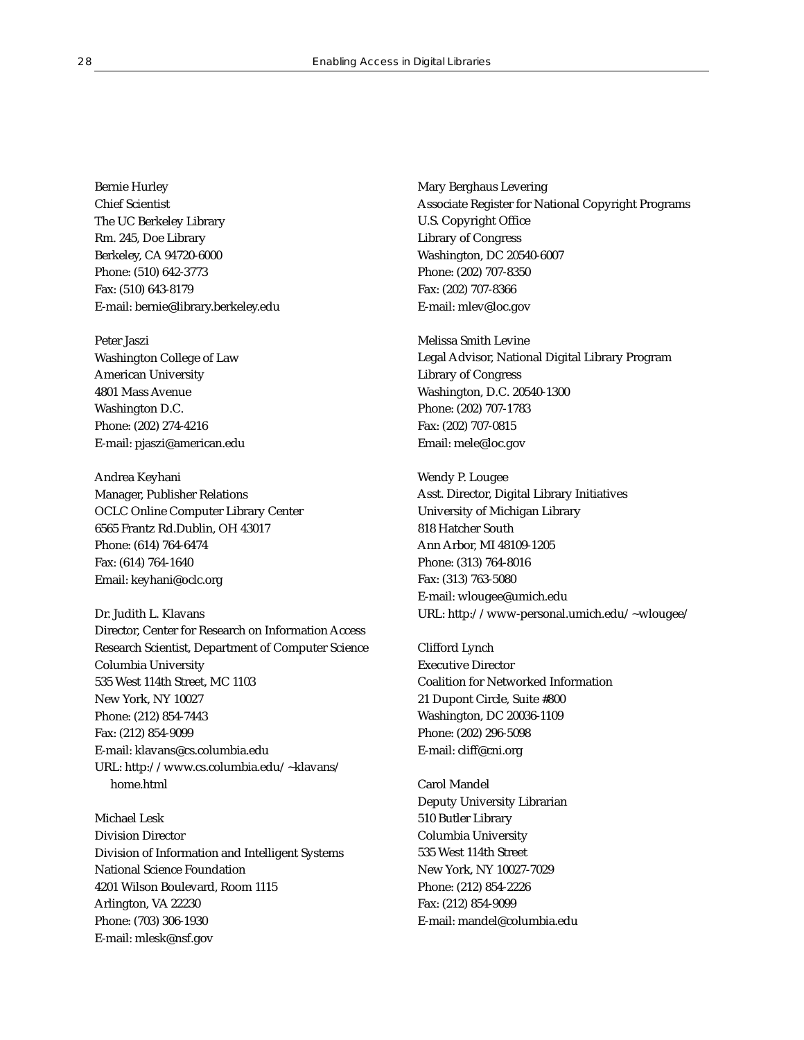Bernie Hurley Chief Scientist The UC Berkeley Library Rm. 245, Doe Library Berkeley, CA 94720-6000 Phone: (510) 642-3773 Fax: (510) 643-8179 E-mail: bernie@library.berkeley.edu

Peter Jaszi Washington College of Law American University 4801 Mass Avenue Washington D.C. Phone: (202) 274-4216 E-mail: pjaszi@american.edu

Andrea Keyhani Manager, Publisher Relations OCLC Online Computer Library Center 6565 Frantz Rd.Dublin, OH 43017 Phone: (614) 764-6474 Fax: (614) 764-1640 Email: keyhani@oclc.org

Dr. Judith L. Klavans Director, Center for Research on Information Access Research Scientist, Department of Computer Science Columbia University 535 West 114th Street, MC 1103 New York, NY 10027 Phone: (212) 854-7443 Fax: (212) 854-9099 E-mail: klavans@cs.columbia.edu URL: http://www.cs.columbia.edu/~klavans/ home.html

Michael Lesk Division Director Division of Information and Intelligent Systems National Science Foundation 4201 Wilson Boulevard, Room 1115 Arlington, VA 22230 Phone: (703) 306-1930 E-mail: mlesk@nsf.gov

Mary Berghaus Levering Associate Register for National Copyright Programs U.S. Copyright Office Library of Congress Washington, DC 20540-6007 Phone: (202) 707-8350 Fax: (202) 707-8366 E-mail: mlev@loc.gov

Melissa Smith Levine Legal Advisor, National Digital Library Program Library of Congress Washington, D.C. 20540-1300 Phone: (202) 707-1783 Fax: (202) 707-0815 Email: mele@loc.gov

Wendy P. Lougee Asst. Director, Digital Library Initiatives University of Michigan Library 818 Hatcher South Ann Arbor, MI 48109-1205 Phone: (313) 764-8016 Fax: (313) 763-5080 E-mail: wlougee@umich.edu URL: http://www-personal.umich.edu/~wlougee/

Clifford Lynch Executive Director Coalition for Networked Information 21 Dupont Circle, Suite #800 Washington, DC 20036-1109 Phone: (202) 296-5098 E-mail: cliff@cni.org

Carol Mandel Deputy University Librarian 510 Butler Library Columbia University 535 West 114th Street New York, NY 10027-7029 Phone: (212) 854-2226 Fax: (212) 854-9099 E-mail: mandel@columbia.edu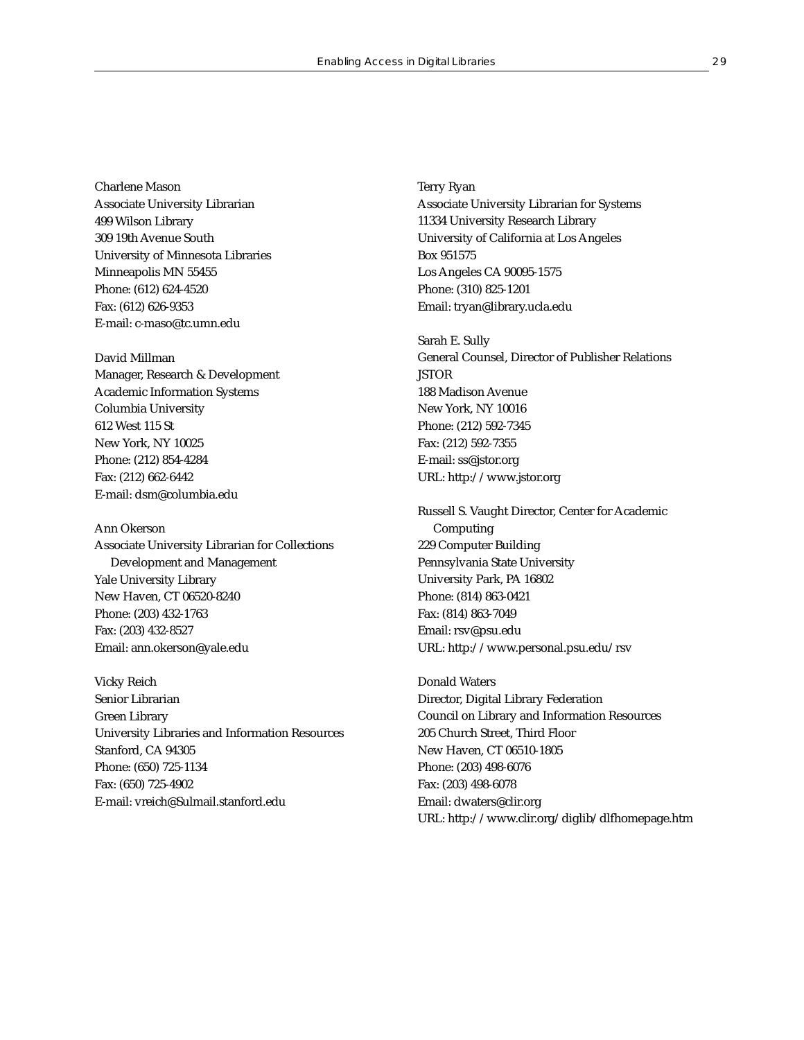Charlene Mason Associate University Librarian 499 Wilson Library 309 19th Avenue South University of Minnesota Libraries Minneapolis MN 55455 Phone: (612) 624-4520 Fax: (612) 626-9353 E-mail: c-maso@tc.umn.edu

David Millman Manager, Research & Development Academic Information Systems Columbia University 612 West 115 St New York, NY 10025 Phone: (212) 854-4284 Fax: (212) 662-6442 E-mail: dsm@columbia.edu

Ann Okerson Associate University Librarian for Collections Development and Management Yale University Library New Haven, CT 06520-8240 Phone: (203) 432-1763 Fax: (203) 432-8527 Email: ann.okerson@yale.edu

Vicky Reich Senior Librarian Green Library University Libraries and Information Resources Stanford, CA 94305 Phone: (650) 725-1134 Fax: (650) 725-4902 E-mail: vreich@Sulmail.stanford.edu

Terry Ryan Associate University Librarian for Systems 11334 University Research Library University of California at Los Angeles Box 951575 Los Angeles CA 90095-1575 Phone: (310) 825-1201 Email: tryan@library.ucla.edu

Sarah E. Sully General Counsel, Director of Publisher Relations **JSTOR** 188 Madison Avenue New York, NY 10016 Phone: (212) 592-7345 Fax: (212) 592-7355 E-mail: ss@jstor.org URL: http://www.jstor.org

Russell S. Vaught Director, Center for Academic Computing 229 Computer Building Pennsylvania State University University Park, PA 16802 Phone: (814) 863-0421 Fax: (814) 863-7049 Email: rsv@psu.edu URL: http://www.personal.psu.edu/rsv

Donald Waters Director, Digital Library Federation Council on Library and Information Resources 205 Church Street, Third Floor New Haven, CT 06510-1805 Phone: (203) 498-6076 Fax: (203) 498-6078 Email: dwaters@clir.org URL: http://www.clir.org/diglib/dlfhomepage.htm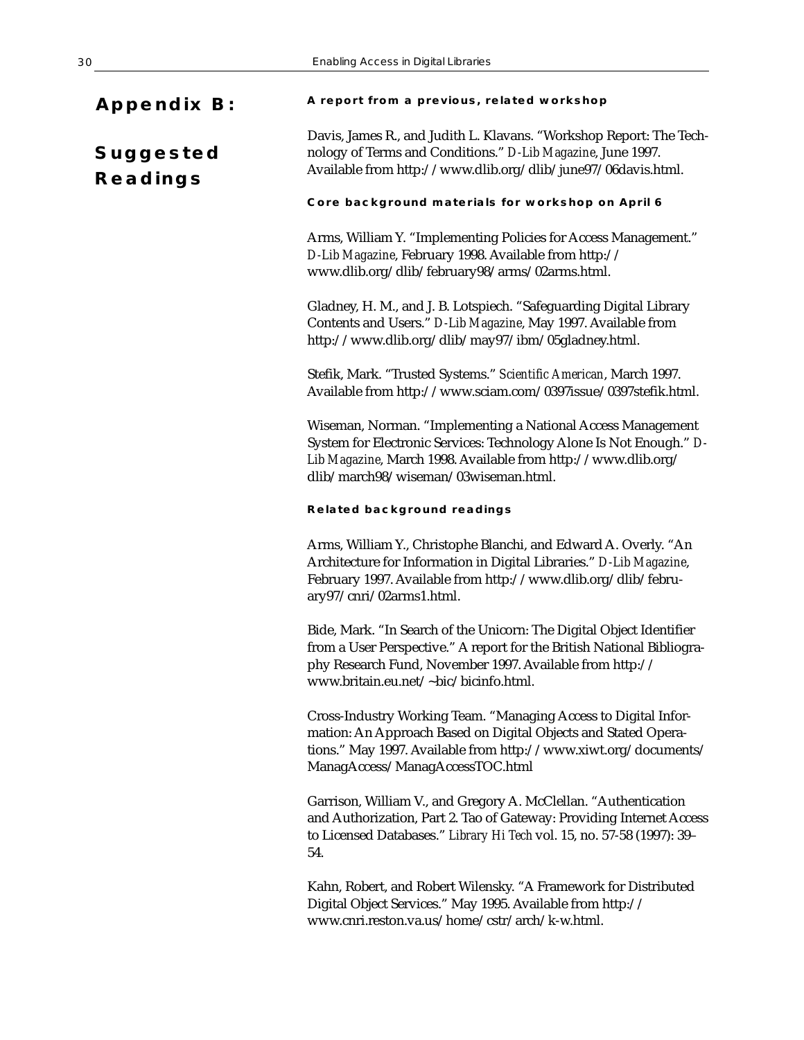| <b>Appendix B:</b>                  | A report from a previous, related workshop                                                                                                                                                                                                          |
|-------------------------------------|-----------------------------------------------------------------------------------------------------------------------------------------------------------------------------------------------------------------------------------------------------|
| <b>Suggested</b><br><b>Readings</b> | Davis, James R., and Judith L. Klavans. "Workshop Report: The Tech-<br>nology of Terms and Conditions." D-Lib Magazine, June 1997.<br>Available from http://www.dlib.org/dlib/june97/06davis.html.                                                  |
|                                     | Core background materials for workshop on April 6                                                                                                                                                                                                   |
|                                     | Arms, William Y. "Implementing Policies for Access Management."<br>D-Lib Magazine, February 1998. Available from http://<br>www.dlib.org/dlib/february98/arms/02arms.html.                                                                          |
|                                     | Gladney, H. M., and J. B. Lotspiech. "Safeguarding Digital Library<br>Contents and Users." D-Lib Magazine, May 1997. Available from<br>http://www.dlib.org/dlib/may97/ibm/05gladney.html.                                                           |
|                                     | Stefik, Mark. "Trusted Systems." Scientific American, March 1997.<br>Available from http://www.sciam.com/0397issue/0397stefik.html.                                                                                                                 |
|                                     | Wiseman, Norman. "Implementing a National Access Management<br>System for Electronic Services: Technology Alone Is Not Enough." D-<br>Lib Magazine, March 1998. Available from http://www.dlib.org/<br>dlib/march98/wiseman/03wiseman.html.         |
|                                     |                                                                                                                                                                                                                                                     |
|                                     | <b>Related background readings</b>                                                                                                                                                                                                                  |
|                                     | Arms, William Y., Christophe Blanchi, and Edward A. Overly. "An<br>Architecture for Information in Digital Libraries." D-Lib Magazine,<br>February 1997. Available from http://www.dlib.org/dlib/febru-<br>ary97/cnri/02arms1.html.                 |
|                                     | Bide, Mark. "In Search of the Unicorn: The Digital Object Identifier<br>from a User Perspective." A report for the British National Bibliogra-<br>phy Research Fund, November 1997. Available from http://<br>www.britain.eu.net/~bic/bicinfo.html. |
|                                     | Cross-Industry Working Team. "Managing Access to Digital Infor-<br>mation: An Approach Based on Digital Objects and Stated Opera-<br>tions." May 1997. Available from http://www.xiwt.org/documents/<br>ManagAccess/ManagAccessTOC.html             |
|                                     | Garrison, William V., and Gregory A. McClellan. "Authentication<br>and Authorization, Part 2. Tao of Gateway: Providing Internet Access<br>to Licensed Databases." Library Hi Tech vol. 15, no. 57-58 (1997): 39-<br>54.                            |

Digital Object Services." May 1995. Available from http:// www.cnri.reston.va.us/home/cstr/arch/k-w.html.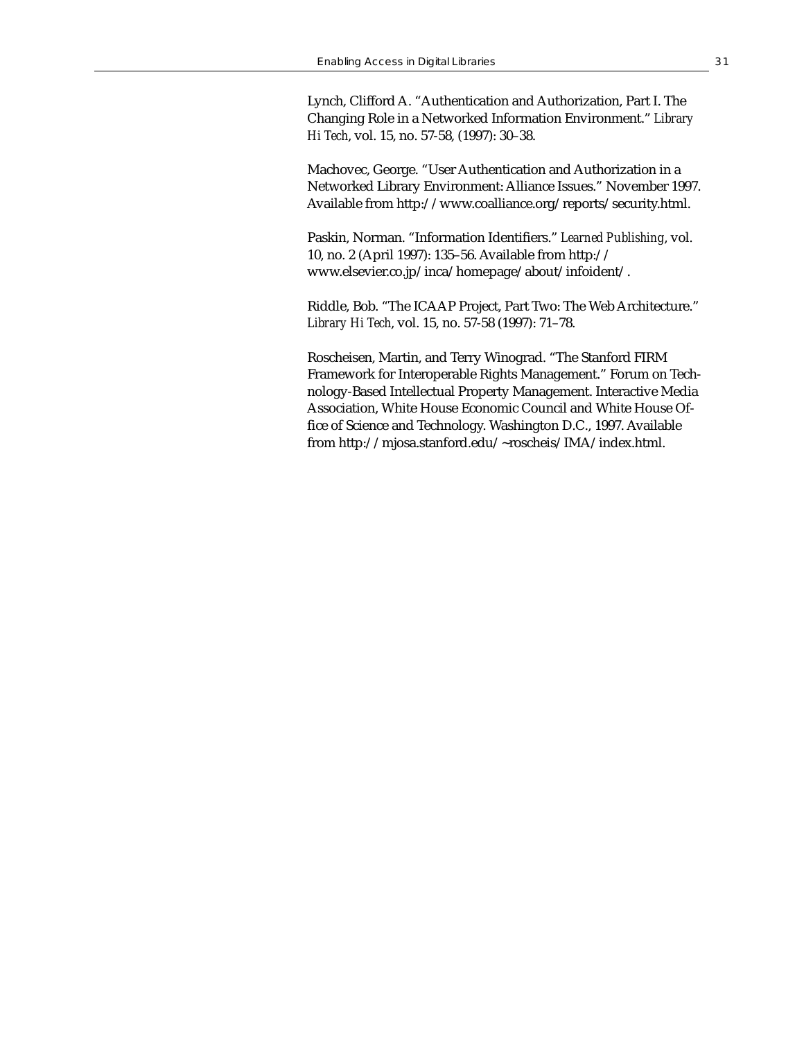Lynch, Clifford A. "Authentication and Authorization, Part I. The Changing Role in a Networked Information Environment." *Library Hi Tech*, vol. 15, no. 57-58, (1997): 30–38.

Machovec, George. "User Authentication and Authorization in a Networked Library Environment: Alliance Issues." November 1997. Available from http://www.coalliance.org/reports/security.html.

Paskin, Norman. "Information Identifiers." *Learned Publishing*, vol. 10, no. 2 (April 1997): 135–56. Available from http:// www.elsevier.co.jp/inca/homepage/about/infoident/.

Riddle, Bob. "The ICAAP Project, Part Two: The Web Architecture." *Library Hi Tech*, vol. 15, no. 57-58 (1997): 71–78.

Roscheisen, Martin, and Terry Winograd. "The Stanford FIRM Framework for Interoperable Rights Management." Forum on Technology-Based Intellectual Property Management. Interactive Media Association, White House Economic Council and White House Office of Science and Technology. Washington D.C., 1997. Available from http://mjosa.stanford.edu/~roscheis/IMA/index.html.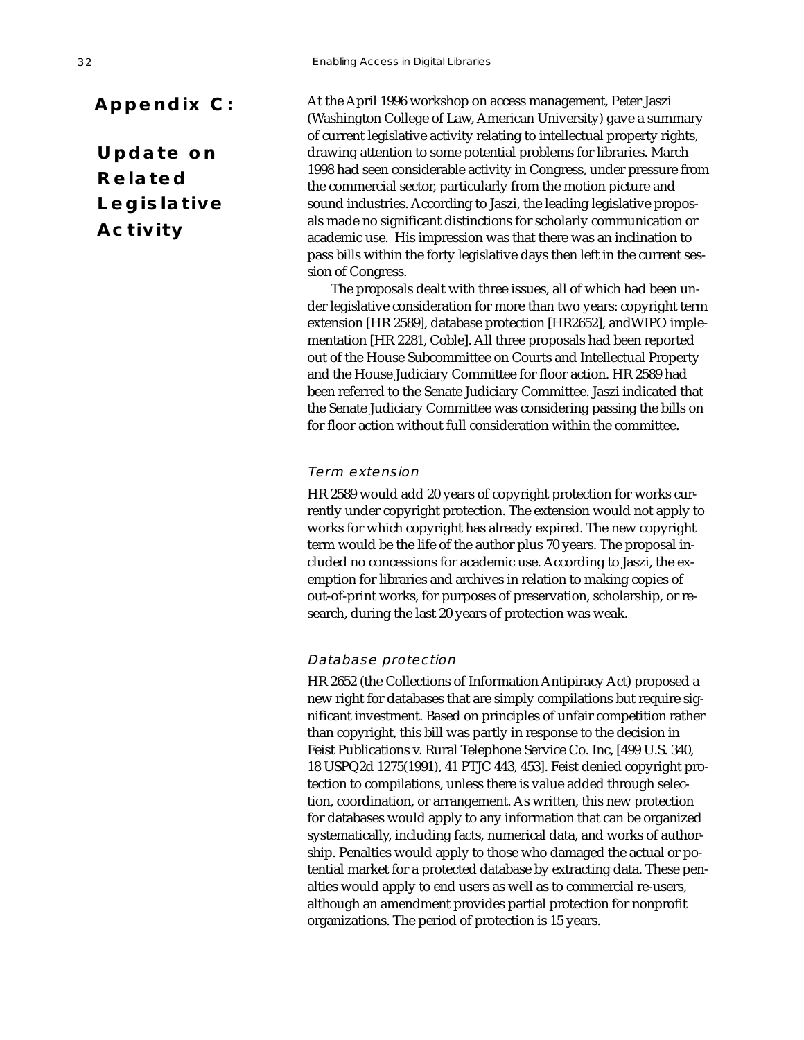# **Appendix C:**

**Update on Related Legislative Activity**

At the April 1996 workshop on access management, Peter Jaszi (Washington College of Law, American University) gave a summary of current legislative activity relating to intellectual property rights, drawing attention to some potential problems for libraries. March 1998 had seen considerable activity in Congress, under pressure from the commercial sector, particularly from the motion picture and sound industries. According to Jaszi, the leading legislative proposals made no significant distinctions for scholarly communication or academic use. His impression was that there was an inclination to pass bills within the forty legislative days then left in the current session of Congress.

The proposals dealt with three issues, all of which had been under legislative consideration for more than two years: copyright term extension [HR 2589], database protection [HR2652], andWIPO implementation [HR 2281, Coble]. All three proposals had been reported out of the House Subcommittee on Courts and Intellectual Property and the House Judiciary Committee for floor action. HR 2589 had been referred to the Senate Judiciary Committee. Jaszi indicated that the Senate Judiciary Committee was considering passing the bills on for floor action without full consideration within the committee.

### Term extension

HR 2589 would add 20 years of copyright protection for works currently under copyright protection. The extension would not apply to works for which copyright has already expired. The new copyright term would be the life of the author plus 70 years. The proposal included no concessions for academic use. According to Jaszi, the exemption for libraries and archives in relation to making copies of out-of-print works, for purposes of preservation, scholarship, or research, during the last 20 years of protection was weak.

#### Database protection

HR 2652 (the Collections of Information Antipiracy Act) proposed a new right for databases that are simply compilations but require significant investment. Based on principles of unfair competition rather than copyright, this bill was partly in response to the decision in Feist Publications v. Rural Telephone Service Co. Inc, [499 U.S. 340, 18 USPQ2d 1275(1991), 41 PTJC 443, 453]. Feist denied copyright protection to compilations, unless there is value added through selection, coordination, or arrangement. As written, this new protection for databases would apply to any information that can be organized systematically, including facts, numerical data, and works of authorship. Penalties would apply to those who damaged the actual or potential market for a protected database by extracting data. These penalties would apply to end users as well as to commercial re-users, although an amendment provides partial protection for nonprofit organizations. The period of protection is 15 years.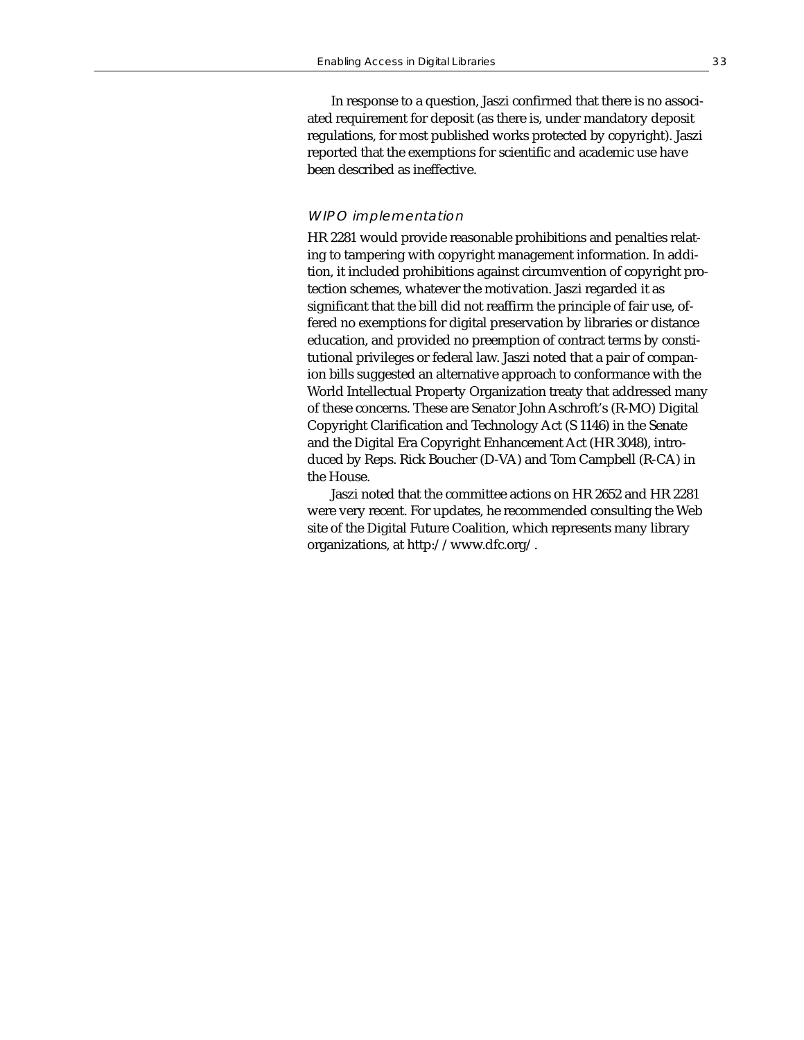In response to a question, Jaszi confirmed that there is no associated requirement for deposit (as there is, under mandatory deposit regulations, for most published works protected by copyright). Jaszi reported that the exemptions for scientific and academic use have been described as ineffective.

## WIPO implementation

HR 2281 would provide reasonable prohibitions and penalties relating to tampering with copyright management information. In addition, it included prohibitions against circumvention of copyright protection schemes, whatever the motivation. Jaszi regarded it as significant that the bill did not reaffirm the principle of fair use, offered no exemptions for digital preservation by libraries or distance education, and provided no preemption of contract terms by constitutional privileges or federal law. Jaszi noted that a pair of companion bills suggested an alternative approach to conformance with the World Intellectual Property Organization treaty that addressed many of these concerns. These are Senator John Aschroft's (R-MO) Digital Copyright Clarification and Technology Act (S 1146) in the Senate and the Digital Era Copyright Enhancement Act (HR 3048), introduced by Reps. Rick Boucher (D-VA) and Tom Campbell (R-CA) in the House.

Jaszi noted that the committee actions on HR 2652 and HR 2281 were very recent. For updates, he recommended consulting the Web site of the Digital Future Coalition, which represents many library organizations, at http://www.dfc.org/.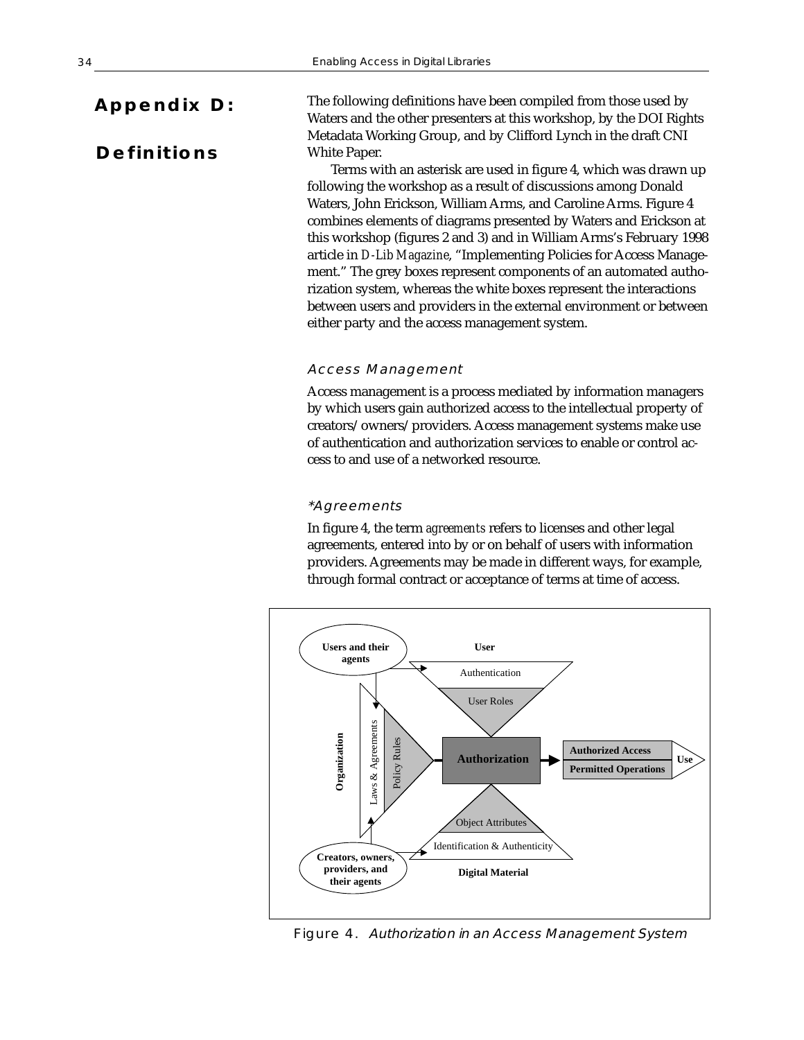# **Appendix D:**

# **Definitions**

The following definitions have been compiled from those used by Waters and the other presenters at this workshop, by the DOI Rights Metadata Working Group, and by Clifford Lynch in the draft CNI White Paper.

Terms with an asterisk are used in figure 4, which was drawn up following the workshop as a result of discussions among Donald Waters, John Erickson, William Arms, and Caroline Arms. Figure 4 combines elements of diagrams presented by Waters and Erickson at this workshop (figures 2 and 3) and in William Arms's February 1998 article in *D-Lib Magazine*, "Implementing Policies for Access Management." The grey boxes represent components of an automated authorization system, whereas the white boxes represent the interactions between users and providers in the external environment or between either party and the access management system.

### Access Management

Access management is a process mediated by information managers by which users gain authorized access to the intellectual property of creators/owners/providers. Access management systems make use of authentication and authorization services to enable or control access to and use of a networked resource.

# \*Agreements

In figure 4, the term *agreements* refers to licenses and other legal agreements, entered into by or on behalf of users with information providers. Agreements may be made in different ways, for example, through formal contract or acceptance of terms at time of access.



Figure 4. Authorization in an Access Management System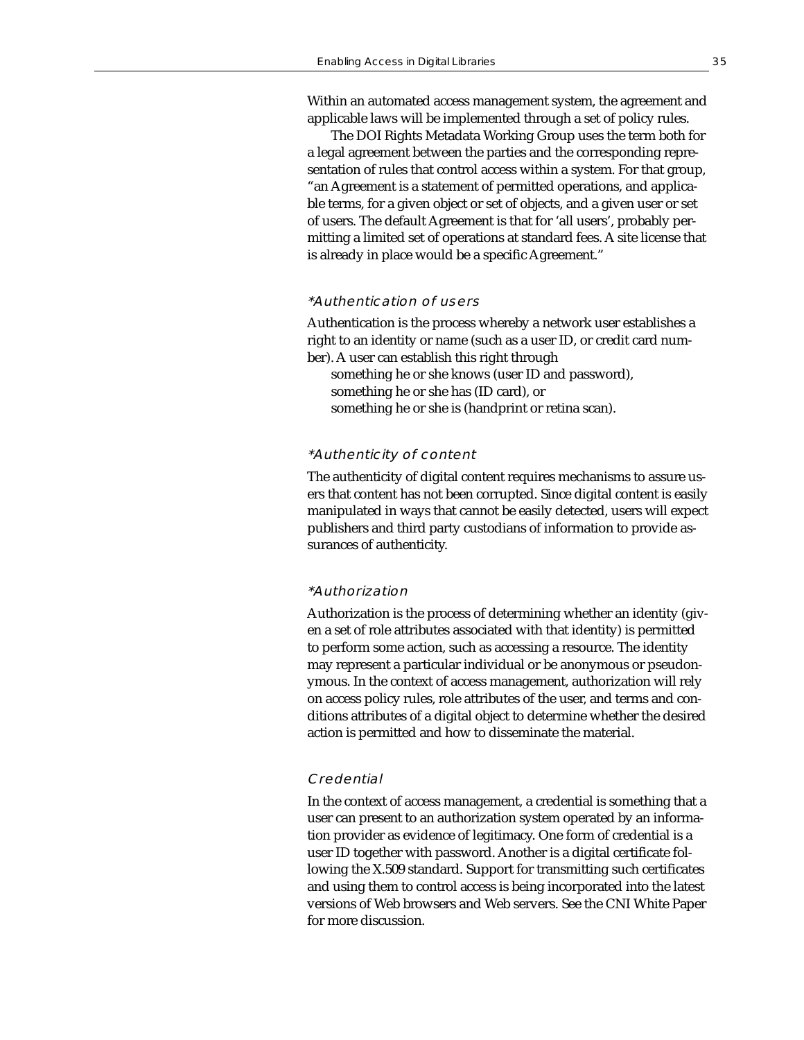Within an automated access management system, the agreement and applicable laws will be implemented through a set of policy rules.

The DOI Rights Metadata Working Group uses the term both for a legal agreement between the parties and the corresponding representation of rules that control access within a system. For that group, "an Agreement is a statement of permitted operations, and applicable terms, for a given object or set of objects, and a given user or set of users. The default Agreement is that for 'all users', probably permitting a limited set of operations at standard fees. A site license that is already in place would be a specific Agreement."

### \*Authentication of users

Authentication is the process whereby a network user establishes a right to an identity or name (such as a user ID, or credit card number). A user can establish this right through

something he or she knows (user ID and password), something he or she has (ID card), or something he or she is (handprint or retina scan).

#### \*Authenticity of content

The authenticity of digital content requires mechanisms to assure users that content has not been corrupted. Since digital content is easily manipulated in ways that cannot be easily detected, users will expect publishers and third party custodians of information to provide assurances of authenticity.

# \*Authorization

Authorization is the process of determining whether an identity (given a set of role attributes associated with that identity) is permitted to perform some action, such as accessing a resource. The identity may represent a particular individual or be anonymous or pseudonymous. In the context of access management, authorization will rely on access policy rules, role attributes of the user, and terms and conditions attributes of a digital object to determine whether the desired action is permitted and how to disseminate the material.

#### **Credential**

In the context of access management, a credential is something that a user can present to an authorization system operated by an information provider as evidence of legitimacy. One form of credential is a user ID together with password. Another is a digital certificate following the X.509 standard. Support for transmitting such certificates and using them to control access is being incorporated into the latest versions of Web browsers and Web servers. See the CNI White Paper for more discussion.